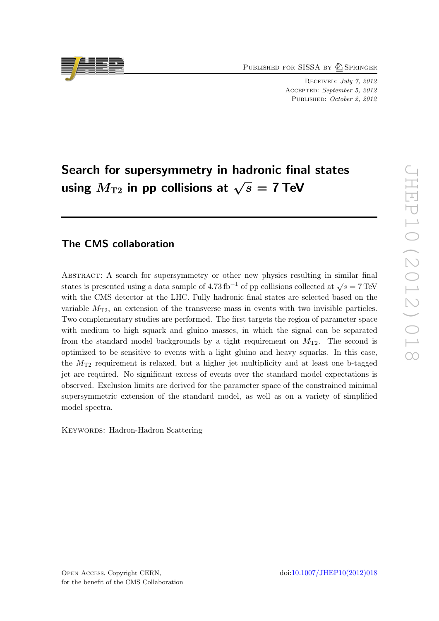PUBLISHED FOR SISSA BY 2 SPRINGER

Received: July 7, 2012 ACCEPTED: September 5, 2012 PUBLISHED: October 2, 2012

# Search for supersymmetry in hadronic final states using  $M_{\text{T2}}$  in pp collisions at  $\sqrt{s} = 7$  TeV

# The CMS collaboration

Abstract: A search for supersymmetry or other new physics resulting in similar final states is presented using a data sample of 4.73 fb<sup>-1</sup> of pp collisions collected at  $\sqrt{s} = 7$  TeV with the CMS detector at the LHC. Fully hadronic final states are selected based on the variable  $M_{\text{T2}}$ , an extension of the transverse mass in events with two invisible particles. Two complementary studies are performed. The first targets the region of parameter space with medium to high squark and gluino masses, in which the signal can be separated from the standard model backgrounds by a tight requirement on  $M_{T2}$ . The second is optimized to be sensitive to events with a light gluino and heavy squarks. In this case, the  $M_{T2}$  requirement is relaxed, but a higher jet multiplicity and at least one b-tagged jet are required. No significant excess of events over the standard model expectations is observed. Exclusion limits are derived for the parameter space of the constrained minimal supersymmetric extension of the standard model, as well as on a variety of simplified model spectra.

KEYWORDS: Hadron-Hadron Scattering

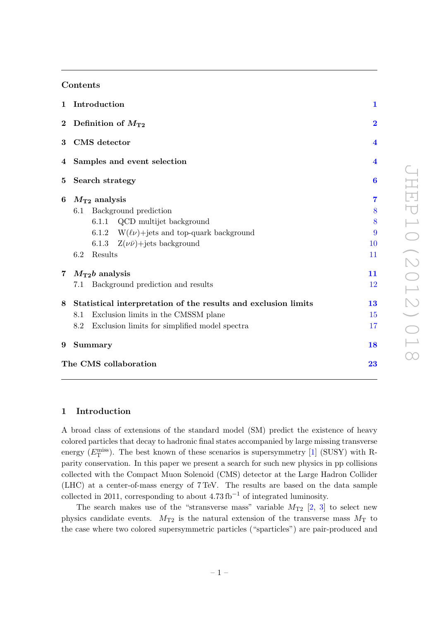# Contents

|          |                               | 1 Introduction            |                                                                | $\mathbf{1}$            |  |  |  |  |
|----------|-------------------------------|---------------------------|----------------------------------------------------------------|-------------------------|--|--|--|--|
| $\bf{2}$ |                               |                           | Definition of $M_{\rm T2}$                                     | $\overline{2}$          |  |  |  |  |
| $\bf{3}$ |                               | CMS detector              |                                                                | $\overline{\mathbf{4}}$ |  |  |  |  |
|          | 4 Samples and event selection |                           |                                                                |                         |  |  |  |  |
| 5        |                               |                           | Search strategy                                                | $\boldsymbol{6}$        |  |  |  |  |
| 6        |                               | $M_{\text{T2}}$ analysis  |                                                                | 7                       |  |  |  |  |
|          | 6.1                           |                           | Background prediction                                          | 8                       |  |  |  |  |
|          |                               | 6.1.1                     | QCD multijet background                                        | 8                       |  |  |  |  |
|          |                               |                           | 6.1.2 W $(\ell \nu)$ +jets and top-quark background            | 9                       |  |  |  |  |
|          |                               |                           | 6.1.3 $Z(\nu\bar{\nu})+{\text{jets}}$ background               | 10                      |  |  |  |  |
|          | 6.2                           | Results                   |                                                                | 11                      |  |  |  |  |
| $7\,$    |                               | $M_{\text{T2}}b$ analysis |                                                                | 11                      |  |  |  |  |
|          | 7.1                           |                           | Background prediction and results                              | 12                      |  |  |  |  |
| 8        |                               |                           | Statistical interpretation of the results and exclusion limits | 13                      |  |  |  |  |
|          | 8.1                           |                           | Exclusion limits in the CMSSM plane                            | 15                      |  |  |  |  |
|          | 8.2                           |                           | Exclusion limits for simplified model spectra                  | 17                      |  |  |  |  |
| 9        |                               | <b>Summary</b>            |                                                                |                         |  |  |  |  |
|          |                               | The CMS collaboration     |                                                                |                         |  |  |  |  |
|          |                               |                           |                                                                |                         |  |  |  |  |

# <span id="page-1-0"></span>1 Introduction

A broad class of extensions of the standard model (SM) predict the existence of heavy colored particles that decay to hadronic final states accompanied by large missing transverse energy  $(E_{\text{T}}^{\text{miss}})$ . The best known of these scenarios is supersymmetry [\[1\]](#page-19-0) (SUSY) with Rparity conservation. In this paper we present a search for such new physics in pp collisions collected with the Compact Muon Solenoid (CMS) detector at the Large Hadron Collider (LHC) at a center-of-mass energy of 7 TeV. The results are based on the data sample collected in 2011, corresponding to about  $4.73 \text{ fb}^{-1}$  of integrated luminosity.

The search makes use of the "stransverse mass" variable  $M_{T2}$  [\[2,](#page-20-0) [3\]](#page-20-1) to select new physics candidate events.  $M_{\text{T2}}$  is the natural extension of the transverse mass  $M_{\text{T}}$  to the case where two colored supersymmetric particles ("sparticles") are pair-produced and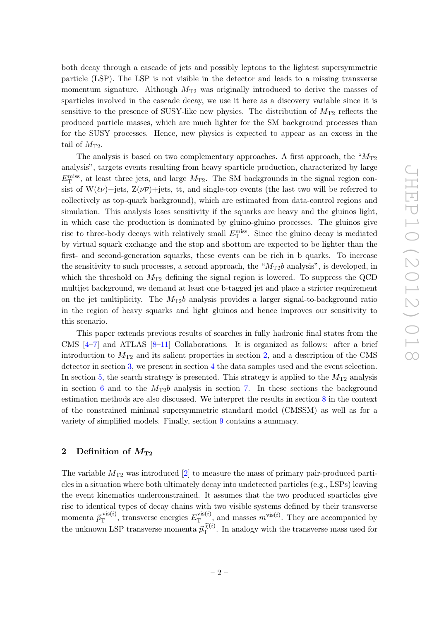both decay through a cascade of jets and possibly leptons to the lightest supersymmetric particle (LSP). The LSP is not visible in the detector and leads to a missing transverse momentum signature. Although  $M_{T2}$  was originally introduced to derive the masses of sparticles involved in the cascade decay, we use it here as a discovery variable since it is sensitive to the presence of SUSY-like new physics. The distribution of  $M_{T2}$  reflects the produced particle masses, which are much lighter for the SM background processes than for the SUSY processes. Hence, new physics is expected to appear as an excess in the tail of  $M_{\text{T2}}$ .

The analysis is based on two complementary approaches. A first approach, the " $M_{T2}$ " analysis", targets events resulting from heavy sparticle production, characterized by large  $E_{\rm T}^{\rm miss}$ , at least three jets, and large  $M_{\rm T2}$ . The SM backgrounds in the signal region consist of  $W(\ell\nu)+jets$ ,  $Z(\nu\bar{\nu})+jets$ ,  $t\bar{t}$ , and single-top events (the last two will be referred to collectively as top-quark background), which are estimated from data-control regions and simulation. This analysis loses sensitivity if the squarks are heavy and the gluinos light, in which case the production is dominated by gluino-gluino processes. The gluinos give rise to three-body decays with relatively small  $E_{\rm T}^{\rm miss}$ . Since the gluino decay is mediated by virtual squark exchange and the stop and sbottom are expected to be lighter than the first- and second-generation squarks, these events can be rich in b quarks. To increase the sensitivity to such processes, a second approach, the " $M_{T2}b$  analysis", is developed, in which the threshold on  $M_{T2}$  defining the signal region is lowered. To suppress the QCD multijet background, we demand at least one b-tagged jet and place a stricter requirement on the jet multiplicity. The  $M<sub>T2</sub>b$  analysis provides a larger signal-to-background ratio in the region of heavy squarks and light gluinos and hence improves our sensitivity to this scenario.

This paper extends previous results of searches in fully hadronic final states from the CMS  $[4-7]$  $[4-7]$  and ATLAS  $[8-11]$  $[8-11]$  Collaborations. It is organized as follows: after a brief introduction to  $M_{\text{T2}}$  and its salient properties in section [2,](#page-2-0) and a description of the CMS detector in section [3,](#page-4-0) we present in section [4](#page-4-1) the data samples used and the event selection. In section [5,](#page-6-0) the search strategy is presented. This strategy is applied to the  $M_{\text{T2}}$  analysis in section [6](#page-7-0) and to the  $M_{T2}b$  analysis in section [7.](#page-11-1) In these sections the background estimation methods are also discussed. We interpret the results in section [8](#page-13-0) in the context of the constrained minimal supersymmetric standard model (CMSSM) as well as for a variety of simplified models. Finally, section [9](#page-18-0) contains a summary.

### <span id="page-2-0"></span>2 Definition of  $M_{T2}$

The variable  $M_{\text{T2}}$  was introduced [\[2\]](#page-20-0) to measure the mass of primary pair-produced particles in a situation where both ultimately decay into undetected particles (e.g., LSPs) leaving the event kinematics underconstrained. It assumes that the two produced sparticles give rise to identical types of decay chains with two visible systems defined by their transverse momenta  $\vec{p}_{\mathrm{T}}^{\mathrm{vis}(i)}$  $F_{\text{T}}^{\text{vis}(i)}$ , transverse energies  $E_{\text{T}}^{\text{vis}(i)}$  $T_{\text{T}}^{\text{vis}(i)}$ , and masses  $m^{\text{vis}(i)}$ . They are accompanied by the unknown LSP transverse momenta  $\vec{p}_{\rm T}^{\tilde{\chi}(i)}$ . In analogy with the transverse mass used for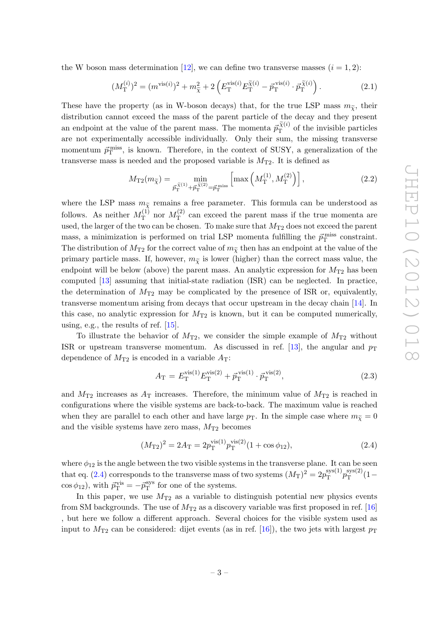the W boson mass determination [\[12\]](#page-20-6), we can define two transverse masses  $(i = 1, 2)$ :

$$
(M_{\mathcal{T}}^{(i)})^2 = (m^{\text{vis}(i)})^2 + m_{\tilde{\chi}}^2 + 2\left(E_{\mathcal{T}}^{\text{vis}(i)} E_{\mathcal{T}}^{\tilde{\chi}(i)} - \vec{p}_{\mathcal{T}}^{\text{vis}(i)} \cdot \vec{p}_{\mathcal{T}}^{\tilde{\chi}(i)}\right).
$$
 (2.1)

These have the property (as in W-boson decays) that, for the true LSP mass  $m_{\tilde{\gamma}}$ , their distribution cannot exceed the mass of the parent particle of the decay and they present an endpoint at the value of the parent mass. The momenta  $\vec{p}_{\text{T}}^{\tilde{\chi}(i)}$  of the invisible particles are not experimentally accessible individually. Only their sum, the missing transverse momentum  $\vec{p}_{\rm T}^{\rm miss}$ , is known. Therefore, in the context of SUSY, a generalization of the transverse mass is needed and the proposed variable is  $M_{\text{T2}}$ . It is defined as

$$
M_{\rm T2}(m_{\tilde{\chi}}) = \min_{\vec{p}_{\rm T}^{\tilde{\chi}(1)} + \vec{p}_{\rm T}^{\tilde{\chi}(2)} = \vec{p}_{\rm T}^{\text{miss}}} \left[ \max \left( M_{\rm T}^{(1)}, M_{\rm T}^{(2)} \right) \right],\tag{2.2}
$$

where the LSP mass  $m_{\tilde{\chi}}$  remains a free parameter. This formula can be understood as follows. As neither  $M_{\rm T}^{(1)}$  $\boldsymbol{\Lambda}_{\rm T}^{(1)}$  nor  $M_{\rm T}^{(2)}$  $T^{(2)}$  can exceed the parent mass if the true momenta are used, the larger of the two can be chosen. To make sure that  $M_{T2}$  does not exceed the parent mass, a minimization is performed on trial LSP momenta fulfilling the  $\vec{p}_{\text{T}}^{\text{miss}}$  constraint. The distribution of  $M_{T2}$  for the correct value of  $m_{\tilde{\gamma}}$  then has an endpoint at the value of the primary particle mass. If, however,  $m_{\tilde{\chi}}$  is lower (higher) than the correct mass value, the endpoint will be below (above) the parent mass. An analytic expression for  $M_{T2}$  has been computed [\[13\]](#page-20-7) assuming that initial-state radiation (ISR) can be neglected. In practice, the determination of  $M_{\text{T2}}$  may be complicated by the presence of ISR or, equivalently, transverse momentum arising from decays that occur upstream in the decay chain [\[14\]](#page-20-8). In this case, no analytic expression for  $M_{T2}$  is known, but it can be computed numerically, using, e.g., the results of ref. [\[15\]](#page-20-9).

To illustrate the behavior of  $M_{T2}$ , we consider the simple example of  $M_{T2}$  without ISR or upstream transverse momentum. As discussed in ref. [\[13\]](#page-20-7), the angular and  $p_T$ dependence of  $M_{\text{T2}}$  is encoded in a variable  $A_{\text{T}}$ :

$$
A_{\rm T} = E_{\rm T}^{\rm vis(1)} E_{\rm T}^{\rm vis(2)} + \vec{p}_{\rm T}^{\rm vis(1)} \cdot \vec{p}_{\rm T}^{\rm vis(2)},\tag{2.3}
$$

and  $M_{\text{T2}}$  increases as  $A_{\text{T}}$  increases. Therefore, the minimum value of  $M_{\text{T2}}$  is reached in configurations where the visible systems are back-to-back. The maximum value is reached when they are parallel to each other and have large  $p_T$ . In the simple case where  $m_{\tilde{Y}} = 0$ and the visible systems have zero mass,  $M_{\text{T2}}$  becomes

<span id="page-3-0"></span>
$$
(M_{\text{T2}})^2 = 2A_{\text{T}} = 2p_{\text{T}}^{\text{vis}(1)} p_{\text{T}}^{\text{vis}(2)} (1 + \cos \phi_{12}), \tag{2.4}
$$

where  $\phi_{12}$  is the angle between the two visible systems in the transverse plane. It can be seen that eq. [\(2.4\)](#page-3-0) corresponds to the transverse mass of two systems  $(M_T)^2 = 2p_T^{\text{sys}(1)}$  $p_{\text{T}}^{\text{sys}(1)} p_{\text{T}}^{\text{sys}(2)}$  $T_{\rm T}^{\rm sys (2)}(1 \cos \phi_{12}$ , with  $\vec{p}_{\rm T}^{\rm vis} = -\vec{p}_{\rm T}^{\rm sys}$  $T<sup>sys</sup>$  for one of the systems.

In this paper, we use  $M_{T2}$  as a variable to distinguish potential new physics events from SM backgrounds. The use of  $M_{T2}$  as a discovery variable was first proposed in ref. [\[16\]](#page-20-10) , but here we follow a different approach. Several choices for the visible system used as input to  $M_{\text{T2}}$  can be considered: dijet events (as in ref. [\[16\]](#page-20-10)), the two jets with largest  $p_{\text{T}}$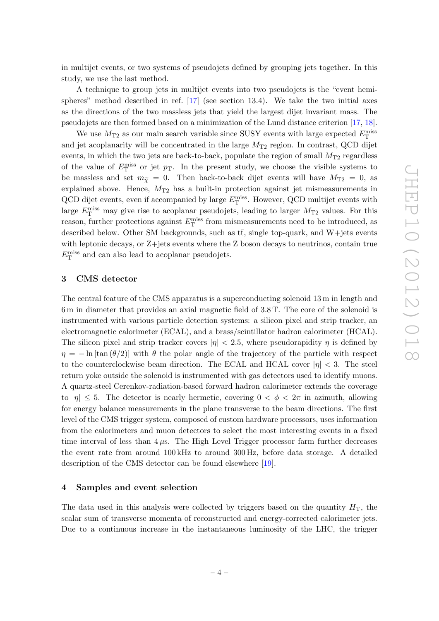in multijet events, or two systems of pseudojets defined by grouping jets together. In this study, we use the last method.

A technique to group jets in multijet events into two pseudojets is the "event hemispheres" method described in ref. [\[17\]](#page-20-11) (see section 13.4). We take the two initial axes as the directions of the two massless jets that yield the largest dijet invariant mass. The pseudojets are then formed based on a minimization of the Lund distance criterion [\[17,](#page-20-11) [18\]](#page-21-0).

We use  $M_{\text{T2}}$  as our main search variable since SUSY events with large expected  $E_{\text{T}}^{\text{miss}}$ and jet acoplanarity will be concentrated in the large  $M_{T2}$  region. In contrast, QCD dijet events, in which the two jets are back-to-back, populate the region of small  $M_{T2}$  regardless of the value of  $E_{\rm T}^{\rm miss}$  or jet  $p_{\rm T}$ . In the present study, we choose the visible systems to be massless and set  $m_{\tilde{\gamma}} = 0$ . Then back-to-back dijet events will have  $M_{T2} = 0$ , as explained above. Hence,  $M_{T2}$  has a built-in protection against jet mismeasurements in QCD dijet events, even if accompanied by large  $E_{\rm T}^{\rm miss}$ . However, QCD multijet events with large  $E_{\rm T}^{\rm miss}$  may give rise to acoplanar pseudojets, leading to larger  $M_{\rm T2}$  values. For this reason, further protections against  $E_{\rm T}^{\rm miss}$  from mismeasurements need to be introduced, as described below. Other SM backgrounds, such as  $t\bar{t}$ , single top-quark, and W+jets events with leptonic decays, or Z+jets events where the Z boson decays to neutrinos, contain true  $E_{\rm T}^{\rm miss}$  and can also lead to acoplanar pseudojets.

#### <span id="page-4-0"></span>3 CMS detector

The central feature of the CMS apparatus is a superconducting solenoid 13 m in length and 6 m in diameter that provides an axial magnetic field of 3.8 T. The core of the solenoid is instrumented with various particle detection systems: a silicon pixel and strip tracker, an electromagnetic calorimeter (ECAL), and a brass/scintillator hadron calorimeter (HCAL). The silicon pixel and strip tracker covers  $|\eta| < 2.5$ , where pseudorapidity  $\eta$  is defined by  $\eta = -\ln \left[\tan \left(\frac{\theta}{2}\right)\right]$  with  $\theta$  the polar angle of the trajectory of the particle with respect to the counterclockwise beam direction. The ECAL and HCAL cover  $|\eta| < 3$ . The steel return yoke outside the solenoid is instrumented with gas detectors used to identify muons. A quartz-steel Cerenkov-radiation-based forward hadron calorimeter extends the coverage to  $|\eta| \leq 5$ . The detector is nearly hermetic, covering  $0 < \phi < 2\pi$  in azimuth, allowing for energy balance measurements in the plane transverse to the beam directions. The first level of the CMS trigger system, composed of custom hardware processors, uses information from the calorimeters and muon detectors to select the most interesting events in a fixed time interval of less than  $4 \mu s$ . The High Level Trigger processor farm further decreases the event rate from around 100 kHz to around 300 Hz, before data storage. A detailed description of the CMS detector can be found elsewhere [\[19\]](#page-21-1).

#### <span id="page-4-1"></span>4 Samples and event selection

The data used in this analysis were collected by triggers based on the quantity  $H_T$ , the scalar sum of transverse momenta of reconstructed and energy-corrected calorimeter jets. Due to a continuous increase in the instantaneous luminosity of the LHC, the trigger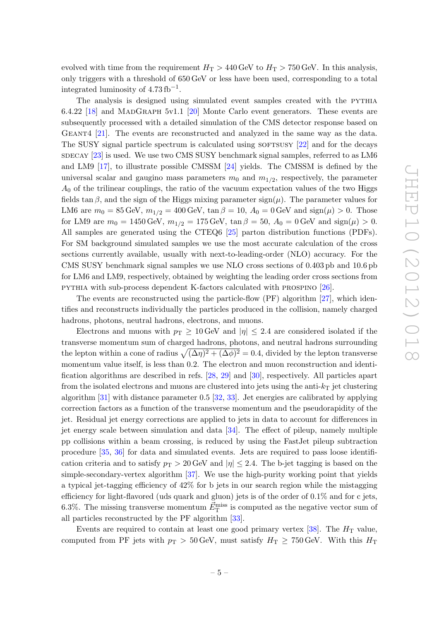evolved with time from the requirement  $H_T > 440$  GeV to  $H_T > 750$  GeV. In this analysis, only triggers with a threshold of 650 GeV or less have been used, corresponding to a total integrated luminosity of  $4.73 \text{ fb}^{-1}$ .

The analysis is designed using simulated event samples created with the pythia 6.4.22  $[18]$  and MADGRAPH 5v1.1  $[20]$  Monte Carlo event generators. These events are subsequently processed with a detailed simulation of the CMS detector response based on Geant4 [\[21\]](#page-21-3). The events are reconstructed and analyzed in the same way as the data. The SUSY signal particle spectrum is calculated using  $S$ OFTSUSY [\[22\]](#page-21-4) and for the decays  $SDECAY$  [\[23\]](#page-21-5) is used. We use two CMS SUSY benchmark signal samples, referred to as LM6 and LM9 [\[17\]](#page-20-11), to illustrate possible CMSSM [\[24\]](#page-21-6) yields. The CMSSM is defined by the universal scalar and gaugino mass parameters  $m_0$  and  $m_{1/2}$ , respectively, the parameter  $A_0$  of the trilinear couplings, the ratio of the vacuum expectation values of the two Higgs fields tan  $\beta$ , and the sign of the Higgs mixing parameter sign( $\mu$ ). The parameter values for LM6 are  $m_0 = 85 \,\text{GeV}, m_{1/2} = 400 \,\text{GeV}, \tan \beta = 10, A_0 = 0 \,\text{GeV}$  and  $\text{sign}(\mu) > 0$ . Those for LM9 are  $m_0 = 1450 \,\text{GeV}, m_{1/2} = 175 \,\text{GeV}, \tan \beta = 50, A_0 = 0 \,\text{GeV}$  and  $\text{sign}(\mu) > 0$ . All samples are generated using the CTEQ6 [\[25\]](#page-21-7) parton distribution functions (PDFs). For SM background simulated samples we use the most accurate calculation of the cross sections currently available, usually with next-to-leading-order (NLO) accuracy. For the CMS SUSY benchmark signal samples we use NLO cross sections of 0.403 pb and 10.6 pb for LM6 and LM9, respectively, obtained by weighting the leading order cross sections from pythia with sub-process dependent K-factors calculated with prospino [\[26\]](#page-21-8).

The events are reconstructed using the particle-flow (PF) algorithm [\[27\]](#page-21-9), which identifies and reconstructs individually the particles produced in the collision, namely charged hadrons, photons, neutral hadrons, electrons, and muons.

Electrons and muons with  $p_T \geq 10$  GeV and  $|\eta| \leq 2.4$  are considered isolated if the transverse momentum sum of charged hadrons, photons, and neutral hadrons surrounding the lepton within a cone of radius  $\sqrt{(\Delta \eta)^2 + (\Delta \phi)^2} = 0.4$ , divided by the lepton transverse momentum value itself, is less than 0.2. The electron and muon reconstruction and identification algorithms are described in refs. [\[28,](#page-21-10) [29\]](#page-21-11) and [\[30\]](#page-21-12), respectively. All particles apart from the isolated electrons and muons are clustered into jets using the anti- $k<sub>T</sub>$  jet clustering algorithm [\[31\]](#page-21-13) with distance parameter 0.5 [\[32,](#page-21-14) [33\]](#page-21-15). Jet energies are calibrated by applying correction factors as a function of the transverse momentum and the pseudorapidity of the jet. Residual jet energy corrections are applied to jets in data to account for differences in jet energy scale between simulation and data [\[34\]](#page-21-16). The effect of pileup, namely multiple pp collisions within a beam crossing, is reduced by using the FastJet pileup subtraction procedure [\[35,](#page-21-17) [36\]](#page-21-18) for data and simulated events. Jets are required to pass loose identification criteria and to satisfy  $p_T > 20$  GeV and  $|\eta| \leq 2.4$ . The b-jet tagging is based on the simple-secondary-vertex algorithm [\[37\]](#page-21-19). We use the high-purity working point that yields a typical jet-tagging efficiency of 42% for b jets in our search region while the mistagging efficiency for light-flavored (uds quark and gluon) jets is of the order of 0.1% and for c jets, 6.3%. The missing transverse momentum  $\vec{E}_{\rm T}^{\rm miss}$  is computed as the negative vector sum of all particles reconstructed by the PF algorithm [\[33\]](#page-21-15).

Events are required to contain at least one good primary vertex [\[38\]](#page-22-0). The  $H_T$  value, computed from PF jets with  $p_T > 50$  GeV, must satisfy  $H_T \geq 750$  GeV. With this  $H_T$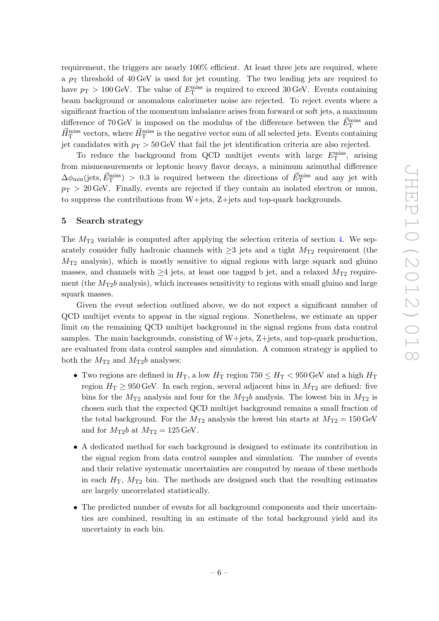requirement, the triggers are nearly 100% efficient. At least three jets are required, where a  $p_T$  threshold of 40 GeV is used for jet counting. The two leading jets are required to have  $p_T > 100 \,\text{GeV}$ . The value of  $E_T^{\text{miss}}$  is required to exceed 30 GeV. Events containing beam background or anomalous calorimeter noise are rejected. To reject events where a significant fraction of the momentum imbalance arises from forward or soft jets, a maximum difference of 70 GeV is imposed on the modulus of the difference between the  $\vec{E}_{\rm T}^{\rm miss}$  and  $\vec{H}_{\rm T}^{\rm miss}$  vectors, where  $\vec{H}_{\rm T}^{\rm miss}$  is the negative vector sum of all selected jets. Events containing jet candidates with  $p_T > 50$  GeV that fail the jet identification criteria are also rejected.

To reduce the background from QCD multijet events with large  $E_{\rm T}^{\rm miss}$ , arising from mismeasurements or leptonic heavy flavor decays, a minimum azimuthal difference  $\Delta\phi_{\rm min}(\text{jets}, \vec{E}_{\rm T}^{\rm miss}) > 0.3$  is required between the directions of  $\vec{E}_{\rm T}^{\rm miss}$  and any jet with  $p_T > 20$  GeV. Finally, events are rejected if they contain an isolated electron or muon, to suppress the contributions from W+jets, Z+jets and top-quark backgrounds.

#### <span id="page-6-0"></span>5 Search strategy

The  $M_{T2}$  variable is computed after applying the selection criteria of section [4.](#page-4-1) We separately consider fully hadronic channels with  $\geq$ 3 jets and a tight  $M_{\text{T2}}$  requirement (the  $M_{\text{T2}}$  analysis), which is mostly sensitive to signal regions with large squark and gluino masses, and channels with  $\geq 4$  jets, at least one tagged b jet, and a relaxed  $M_{T2}$  requirement (the  $M_{T2}b$  analysis), which increases sensitivity to regions with small gluino and large squark masses.

Given the event selection outlined above, we do not expect a significant number of QCD multijet events to appear in the signal regions. Nonetheless, we estimate an upper limit on the remaining QCD multijet background in the signal regions from data control samples. The main backgrounds, consisting of W+jets, Z+jets, and top-quark production, are evaluated from data control samples and simulation. A common strategy is applied to both the  $M_{\text{T2}}$  and  $M_{\text{T2}}$ b analyses:

- Two regions are defined in  $H_T$ , a low  $H_T$  region 750  $\leq H_T < 950$  GeV and a high  $H_T$ region  $H_T \geq 950$  GeV. In each region, several adjacent bins in  $M_{T2}$  are defined: five bins for the  $M_{T2}$  analysis and four for the  $M_{T2}$ b analysis. The lowest bin in  $M_{T2}$  is chosen such that the expected QCD multijet background remains a small fraction of the total background. For the  $M_{T2}$  analysis the lowest bin starts at  $M_{T2} = 150 \text{ GeV}$ and for  $M_{\text{T2}}b$  at  $M_{\text{T2}} = 125 \,\text{GeV}$ .
- A dedicated method for each background is designed to estimate its contribution in the signal region from data control samples and simulation. The number of events and their relative systematic uncertainties are computed by means of these methods in each  $H_{\rm T}$ ,  $M_{\rm T2}$  bin. The methods are designed such that the resulting estimates are largely uncorrelated statistically.
- The predicted number of events for all background components and their uncertainties are combined, resulting in an estimate of the total background yield and its uncertainty in each bin.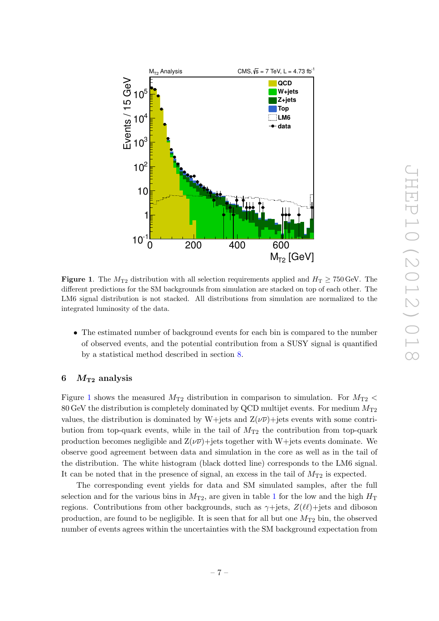

<span id="page-7-1"></span>**Figure 1.** The  $M_{T2}$  distribution with all selection requirements applied and  $H_T \geq 750$  GeV. The different predictions for the SM backgrounds from simulation are stacked on top of each other. The LM6 signal distribution is not stacked. All distributions from simulation are normalized to the integrated luminosity of the data.

• The estimated number of background events for each bin is compared to the number of observed events, and the potential contribution from a SUSY signal is quantified by a statistical method described in section [8.](#page-13-0)

#### <span id="page-7-0"></span>6  $M_{\text{T2}}$  analysis

Figure [1](#page-7-1) shows the measured  $M_{T2}$  distribution in comparison to simulation. For  $M_{T2}$  < 80 GeV the distribution is completely dominated by QCD multijet events. For medium  $M_{T2}$ values, the distribution is dominated by W+jets and  $Z(\nu\bar{\nu})$ +jets events with some contribution from top-quark events, while in the tail of  $M_{T2}$  the contribution from top-quark production becomes negligible and  $Z(\nu\bar{\nu})$ +jets together with W+jets events dominate. We observe good agreement between data and simulation in the core as well as in the tail of the distribution. The white histogram (black dotted line) corresponds to the LM6 signal. It can be noted that in the presence of signal, an excess in the tail of  $M_{\text{T2}}$  is expected.

The corresponding event yields for data and SM simulated samples, after the full selection and for the various bins in  $M_{\text{T2}}$ , are given in table [1](#page-8-2) for the low and the high  $H_{\text{T}}$ regions. Contributions from other backgrounds, such as  $\gamma$ +jets,  $Z(\ell\ell)$ +jets and diboson production, are found to be negligible. It is seen that for all but one  $M_{\text{T2}}$  bin, the observed number of events agrees within the uncertainties with the SM background expectation from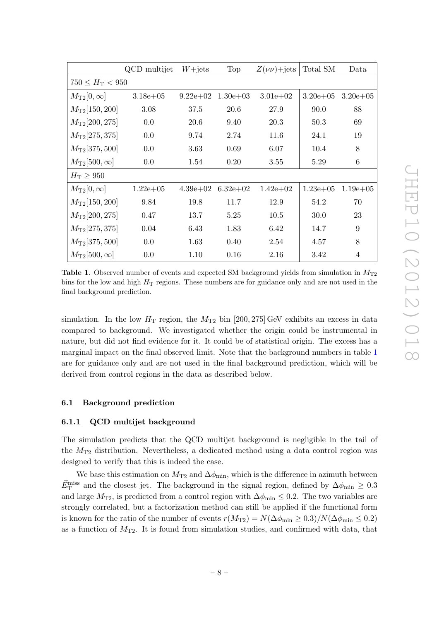|                            | QCD multijet | $W + jets$   | Top          | $Z(\nu\nu)$ +jets | Total SM     | Data           |  |
|----------------------------|--------------|--------------|--------------|-------------------|--------------|----------------|--|
| $750 \leq H_{\rm T} < 950$ |              |              |              |                   |              |                |  |
| $M_{\rm T2}[0,\infty]$     | $3.18e + 05$ | $9.22e + 02$ | $1.30e + 03$ | $3.01e + 02$      | $3.20e + 05$ | $3.20e + 05$   |  |
| $M_{\rm T2}[150, 200]$     | 3.08         | 37.5         | 20.6         | 27.9              | 90.0         | 88             |  |
| $M_{\rm T2}[200, 275]$     | 0.0          | 20.6         | 9.40         | 20.3              | 50.3         | 69             |  |
| $M_{\rm T2}[275, 375]$     | 0.0          | 9.74         | 2.74         | 11.6              | 24.1         | 19             |  |
| $M_{\text{T2}}[375, 500]$  | 0.0          | 3.63         | 0.69         | 6.07              | 10.4         | 8              |  |
| $M_{\rm T2}[500,\infty]$   | 0.0          | 1.54         | 0.20         | 3.55              | 5.29         | 6              |  |
| $H_{\rm T} \geq 950$       |              |              |              |                   |              |                |  |
| $M_{\rm T2}[0,\infty]$     | $1.22e+0.5$  | $4.39e+02$   | $6.32e+0.2$  | $1.42e+02$        | $1.23e+0.5$  | $1.19e + 05$   |  |
| $M_{\rm T2}[150, 200]$     | 9.84         | 19.8         | 11.7         | 12.9              | 54.2         | 70             |  |
| $M_{\rm T2}[200, 275]$     | 0.47         | 13.7         | 5.25         | 10.5              | 30.0         | 23             |  |
| $M_{\rm T2}[275, 375]$     | 0.04         | 6.43         | 1.83         | 6.42              | 14.7         | 9              |  |
| $M_{\rm T2}[375, 500]$     | 0.0          | 1.63         | 0.40         | 2.54              | 4.57         | 8              |  |
| $M_{\rm T2}[500,\infty]$   | 0.0          | 1.10         | 0.16         | 2.16              | 3.42         | $\overline{4}$ |  |

<span id="page-8-2"></span>**Table 1.** Observed number of events and expected SM background yields from simulation in  $M_{T2}$ bins for the low and high  $H<sub>T</sub>$  regions. These numbers are for guidance only and are not used in the final background prediction.

simulation. In the low  $H_T$  region, the  $M_{T2}$  bin [200, 275] GeV exhibits an excess in data compared to background. We investigated whether the origin could be instrumental in nature, but did not find evidence for it. It could be of statistical origin. The excess has a marginal impact on the final observed limit. Note that the background numbers in table [1](#page-8-2) are for guidance only and are not used in the final background prediction, which will be derived from control regions in the data as described below.

# <span id="page-8-0"></span>6.1 Background prediction

#### <span id="page-8-1"></span>6.1.1 QCD multijet background

The simulation predicts that the QCD multijet background is negligible in the tail of the  $M_{\text{T2}}$  distribution. Nevertheless, a dedicated method using a data control region was designed to verify that this is indeed the case.

We base this estimation on  $M_{\text{T2}}$  and  $\Delta\phi_{\text{min}}$ , which is the difference in azimuth between  $\vec{E}_{\rm T}^{\rm miss}$  and the closest jet. The background in the signal region, defined by  $\Delta\phi_{\rm min} \geq 0.3$ and large  $M_{\text{T2}}$ , is predicted from a control region with  $\Delta\phi_{\text{min}} \leq 0.2$ . The two variables are strongly correlated, but a factorization method can still be applied if the functional form is known for the ratio of the number of events  $r(M_{\text{T2}}) = N(\Delta \phi_{\text{min}} \geq 0.3)/N(\Delta \phi_{\text{min}} \leq 0.2)$ as a function of  $M_{T2}$ . It is found from simulation studies, and confirmed with data, that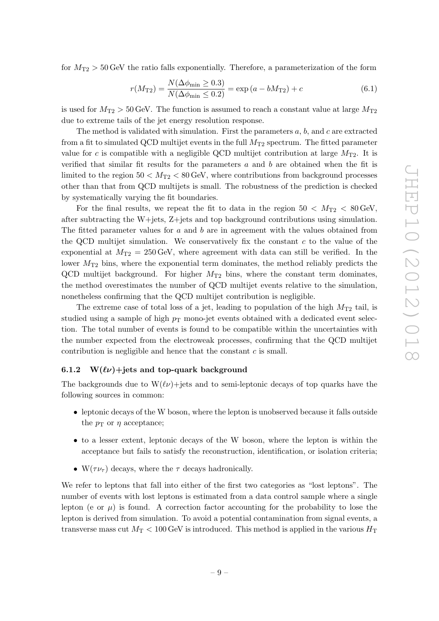for  $M_{\text{T2}} > 50 \text{ GeV}$  the ratio falls exponentially. Therefore, a parameterization of the form

<span id="page-9-1"></span>
$$
r(M_{\text{T2}}) = \frac{N(\Delta\phi_{\text{min}} \ge 0.3)}{N(\Delta\phi_{\text{min}} \le 0.2)} = \exp(a - bM_{\text{T2}}) + c
$$
 (6.1)

is used for  $M_{\text{T2}} > 50 \,\text{GeV}$ . The function is assumed to reach a constant value at large  $M_{\text{T2}}$ due to extreme tails of the jet energy resolution response.

The method is validated with simulation. First the parameters  $a, b$ , and  $c$  are extracted from a fit to simulated QCD multijet events in the full  $M_{T2}$  spectrum. The fitted parameter value for c is compatible with a negligible QCD multijet contribution at large  $M_{T2}$ . It is verified that similar fit results for the parameters  $a$  and  $b$  are obtained when the fit is limited to the region  $50 < M_{T2} < 80$  GeV, where contributions from background processes other than that from QCD multijets is small. The robustness of the prediction is checked by systematically varying the fit boundaries.

For the final results, we repeat the fit to data in the region  $50 < M_{T2} < 80$  GeV, after subtracting the W+jets, Z+jets and top background contributions using simulation. The fitted parameter values for a and b are in agreement with the values obtained from the QCD multijet simulation. We conservatively fix the constant  $c$  to the value of the exponential at  $M_{\text{T2}} = 250 \,\text{GeV}$ , where agreement with data can still be verified. In the lower  $M_{\text{T2}}$  bins, where the exponential term dominates, the method reliably predicts the QCD multijet background. For higher  $M_{T2}$  bins, where the constant term dominates, the method overestimates the number of QCD multijet events relative to the simulation, nonetheless confirming that the QCD multijet contribution is negligible.

The extreme case of total loss of a jet, leading to population of the high  $M_{T2}$  tail, is studied using a sample of high  $p<sub>T</sub>$  mono-jet events obtained with a dedicated event selection. The total number of events is found to be compatible within the uncertainties with the number expected from the electroweak processes, confirming that the QCD multijet contribution is negligible and hence that the constant  $c$  is small.

#### <span id="page-9-0"></span>6.1.2 W $(\ell\nu)$ +jets and top-quark background

The backgrounds due to  $W(\ell\nu)$ +jets and to semi-leptonic decays of top quarks have the following sources in common:

- leptonic decays of the W boson, where the lepton is unobserved because it falls outside the  $p_T$  or  $\eta$  acceptance;
- to a lesser extent, leptonic decays of the W boson, where the lepton is within the acceptance but fails to satisfy the reconstruction, identification, or isolation criteria;
- $W(\tau \nu_{\tau})$  decays, where the  $\tau$  decays hadronically.

We refer to leptons that fall into either of the first two categories as "lost leptons". The number of events with lost leptons is estimated from a data control sample where a single lepton (e or  $\mu$ ) is found. A correction factor accounting for the probability to lose the lepton is derived from simulation. To avoid a potential contamination from signal events, a transverse mass cut  $M_T < 100$  GeV is introduced. This method is applied in the various  $H_T$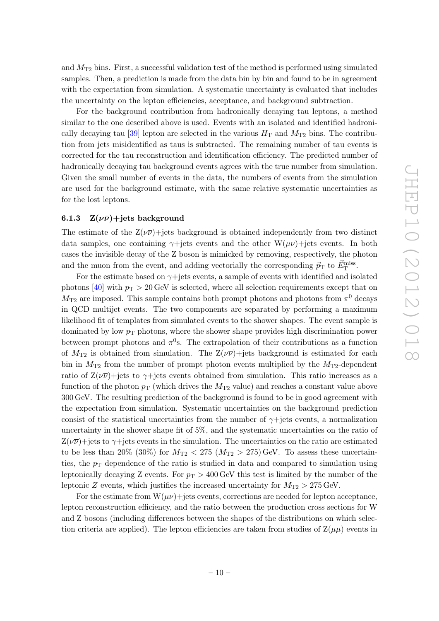and  $M_{\text{T2}}$  bins. First, a successful validation test of the method is performed using simulated samples. Then, a prediction is made from the data bin by bin and found to be in agreement with the expectation from simulation. A systematic uncertainty is evaluated that includes the uncertainty on the lepton efficiencies, acceptance, and background subtraction.

For the background contribution from hadronically decaying tau leptons, a method similar to the one described above is used. Events with an isolated and identified hadroni-cally decaying tau [\[39\]](#page-22-1) lepton are selected in the various  $H_T$  and  $M_{T2}$  bins. The contribution from jets misidentified as taus is subtracted. The remaining number of tau events is corrected for the tau reconstruction and identification efficiency. The predicted number of hadronically decaying tau background events agrees with the true number from simulation. Given the small number of events in the data, the numbers of events from the simulation are used for the background estimate, with the same relative systematic uncertainties as for the lost leptons.

### <span id="page-10-0"></span>6.1.3  $Z(\nu\bar{\nu})+$ jets background

The estimate of the  $Z(\nu\bar{\nu})+$ jets background is obtained independently from two distinct data samples, one containing  $\gamma$ +jets events and the other W( $\mu\nu$ )+jets events. In both cases the invisible decay of the Z boson is mimicked by removing, respectively, the photon and the muon from the event, and adding vectorially the corresponding  $\vec{p}_{\rm T}$  to  $\vec{E}_{\rm T}^{\rm miss}$ .

For the estimate based on  $\gamma$ +jets events, a sample of events with identified and isolated photons  $[40]$  with  $p_T > 20$  GeV is selected, where all selection requirements except that on  $M_{\text{T2}}$  are imposed. This sample contains both prompt photons and photons from  $\pi^0$  decays in QCD multijet events. The two components are separated by performing a maximum likelihood fit of templates from simulated events to the shower shapes. The event sample is dominated by low  $p<sub>T</sub>$  photons, where the shower shape provides high discrimination power between prompt photons and  $\pi^0$ s. The extrapolation of their contributions as a function of  $M_{\text{T2}}$  is obtained from simulation. The  $Z(\nu\bar{\nu})+$  jets background is estimated for each bin in  $M_{T2}$  from the number of prompt photon events multiplied by the  $M_{T2}$ -dependent ratio of  $Z(\nu\bar{\nu})$ +jets to  $\gamma$ +jets events obtained from simulation. This ratio increases as a function of the photon  $p_T$  (which drives the  $M_{T2}$  value) and reaches a constant value above 300 GeV. The resulting prediction of the background is found to be in good agreement with the expectation from simulation. Systematic uncertainties on the background prediction consist of the statistical uncertainties from the number of  $\gamma$ +jets events, a normalization uncertainty in the shower shape fit of 5%, and the systematic uncertainties on the ratio of  $Z(\nu\bar{\nu})$ +jets to  $\gamma$ +jets events in the simulation. The uncertainties on the ratio are estimated to be less than 20% (30%) for  $M_{\text{T2}} < 275 \ (M_{\text{T2}} > 275) \,\text{GeV}$ . To assess these uncertainties, the  $p_{\rm T}$  dependence of the ratio is studied in data and compared to simulation using leptonically decaying Z events. For  $p_T > 400$  GeV this test is limited by the number of the leptonic Z events, which justifies the increased uncertainty for  $M_{\rm T2} > 275$  GeV.

For the estimate from  $W(\mu\nu)$ +jets events, corrections are needed for lepton acceptance, lepton reconstruction efficiency, and the ratio between the production cross sections for W and Z bosons (including differences between the shapes of the distributions on which selection criteria are applied). The lepton efficiencies are taken from studies of  $Z(\mu\mu)$  events in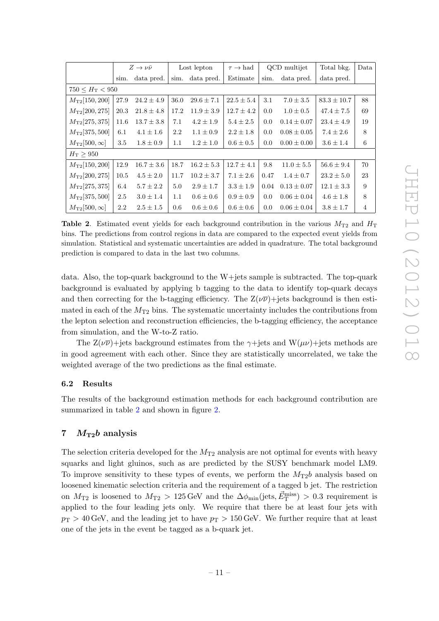|                            | $Z\to\nu\bar{\nu}$ |                | Lost lepton |                | $\tau \rightarrow$ had | QCD multijet |                 | Total bkg.      | Data           |
|----------------------------|--------------------|----------------|-------------|----------------|------------------------|--------------|-----------------|-----------------|----------------|
|                            | sim.               | data pred.     | sim.        | data pred.     | Estimate               | sim.         | data pred.      | data pred.      |                |
| $750 \leq H_{\rm T} < 950$ |                    |                |             |                |                        |              |                 |                 |                |
| $M_{\text{T2}}[150, 200]$  | 27.9               | $24.2 \pm 4.9$ | 36.0        | $29.6 \pm 7.1$ | $22.5 \pm 5.4$         | 3.1          | $7.0 \pm 3.5$   | $83.3 \pm 10.7$ | 88             |
| $M_{\rm T2}[200, 275]$     | 20.3               | $21.8 \pm 4.8$ | 17.2        | $11.9 \pm 3.9$ | $12.7 \pm 4.2$         | 0.0          | $1.0 \pm 0.5$   | $47.4 \pm 7.5$  | 69             |
| $M_{\rm T2}[275, 375]$     | 11.6               | $13.7 \pm 3.8$ | 7.1         | $4.2 \pm 1.9$  | $5.4 \pm 2.5$          | 0.0          | $0.14 \pm 0.07$ | $23.4 \pm 4.9$  | 19             |
| $M_{\text{T2}}[375, 500]$  | 6.1                | $4.1 \pm 1.6$  | 2.2         | $1.1 \pm 0.9$  | $2.2 \pm 1.8$          | 0.0          | $0.08 \pm 0.05$ | $7.4 \pm 2.6$   | 8              |
| $M_{\rm T2}[500,\infty]$   | 3.5                | $1.8 \pm 0.9$  | 1.1         | $1.2 \pm 1.0$  | $0.6 \pm 0.5$          | 0.0          | $0.00 \pm 0.00$ | $3.6 \pm 1.4$   | 6              |
| $H_{\rm T} > 950$          |                    |                |             |                |                        |              |                 |                 |                |
| $M_{\text{T2}}[150, 200]$  | 12.9               | $16.7 \pm 3.6$ | 18.7        | $16.2 \pm 5.3$ | $12.7 \pm 4.1$         | 9.8          | $11.0 \pm 5.5$  | $56.6 \pm 9.4$  | 70             |
| $M_{\rm T2}[200, 275]$     | 10.5               | $4.5 \pm 2.0$  | 11.7        | $10.2 \pm 3.7$ | $7.1 \pm 2.6$          | 0.47         | $1.4 \pm 0.7$   | $23.2 \pm 5.0$  | 23             |
| $M_{\text{T2}}[275, 375]$  | 6.4                | $5.7 \pm 2.2$  | 5.0         | $2.9 \pm 1.7$  | $3.3 \pm 1.9$          | 0.04         | $0.13 \pm 0.07$ | $12.1 \pm 3.3$  | 9              |
| $M_{\text{T2}}[375, 500]$  | 2.5                | $3.0 \pm 1.4$  | 1.1         | $0.6 \pm 0.6$  | $0.9 \pm 0.9$          | 0.0          | $0.06 \pm 0.04$ | $4.6 \pm 1.8$   | 8              |
| $M_{\rm T2}[500,\infty]$   | 2.2                | $2.5 \pm 1.5$  | 0.6         | $0.6 \pm 0.6$  | $0.6 \pm 0.6$          | 0.0          | $0.06 \pm 0.04$ | $3.8 \pm 1.7$   | $\overline{4}$ |
|                            |                    |                |             |                |                        |              |                 |                 |                |

<span id="page-11-2"></span>**Table 2.** Estimated event yields for each background contribution in the various  $M_{T2}$  and  $H_T$ bins. The predictions from control regions in data are compared to the expected event yields from simulation. Statistical and systematic uncertainties are added in quadrature. The total background prediction is compared to data in the last two columns.

data. Also, the top-quark background to the W+jets sample is subtracted. The top-quark background is evaluated by applying b tagging to the data to identify top-quark decays and then correcting for the b-tagging efficiency. The  $Z(\nu\bar{\nu})$ +jets background is then estimated in each of the  $M_{T2}$  bins. The systematic uncertainty includes the contributions from the lepton selection and reconstruction efficiencies, the b-tagging efficiency, the acceptance from simulation, and the W-to-Z ratio.

The  $Z(\nu\bar{\nu})+$ jets background estimates from the  $\gamma+$ jets and W $(\mu\nu)+$ jets methods are in good agreement with each other. Since they are statistically uncorrelated, we take the weighted average of the two predictions as the final estimate.

# <span id="page-11-0"></span>6.2 Results

The results of the background estimation methods for each background contribution are summarized in table [2](#page-11-2) and shown in figure [2.](#page-12-1)

# <span id="page-11-1"></span>7  $M_{\text{T2}}b$  analysis

The selection criteria developed for the  $M_{T2}$  analysis are not optimal for events with heavy squarks and light gluinos, such as are predicted by the SUSY benchmark model LM9. To improve sensitivity to these types of events, we perform the  $M_{T2}b$  analysis based on loosened kinematic selection criteria and the requirement of a tagged b jet. The restriction on  $M_{\text{T2}}$  is loosened to  $M_{\text{T2}} > 125 \,\text{GeV}$  and the  $\Delta\phi_{\text{min}}(\text{jets}, \vec{E}_{\text{T}}^{\text{miss}}) > 0.3$  requirement is applied to the four leading jets only. We require that there be at least four jets with  $p_{\rm T} > 40$  GeV, and the leading jet to have  $p_{\rm T} > 150$  GeV. We further require that at least one of the jets in the event be tagged as a b-quark jet.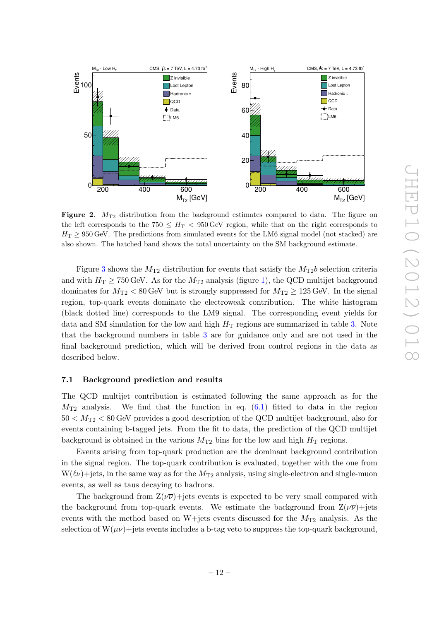

<span id="page-12-1"></span>**Figure 2.**  $M_{T2}$  distribution from the background estimates compared to data. The figure on the left corresponds to the 750  $\leq H_{\rm T}$  < 950 GeV region, while that on the right corresponds to  $H_{\rm T} \geq 950$  GeV. The predictions from simulated events for the LM6 signal model (not stacked) are also shown. The hatched band shows the total uncertainty on the SM background estimate.

Figure [3](#page-13-1) shows the  $M_{T2}$  distribution for events that satisfy the  $M_{T2}$ b selection criteria and with  $H_T \geq 750$  GeV. As for the  $M_{T2}$  analysis (figure [1\)](#page-7-1), the QCD multijet background dominates for  $M_{\text{T2}} < 80 \text{ GeV}$  but is strongly suppressed for  $M_{\text{T2}} \geq 125 \text{ GeV}$ . In the signal region, top-quark events dominate the electroweak contribution. The white histogram (black dotted line) corresponds to the LM9 signal. The corresponding event yields for data and SM simulation for the low and high  $H<sub>T</sub>$  regions are summarized in table [3.](#page-14-0) Note that the background numbers in table [3](#page-14-0) are for guidance only and are not used in the final background prediction, which will be derived from control regions in the data as described below.

#### <span id="page-12-0"></span>7.1 Background prediction and results

The QCD multijet contribution is estimated following the same approach as for the  $M_{\text{T2}}$  analysis. We find that the function in eq. [\(6.1\)](#page-9-1) fitted to data in the region  $50 < M_{T2} < 80$  GeV provides a good description of the QCD multijet background, also for events containing b-tagged jets. From the fit to data, the prediction of the QCD multijet background is obtained in the various  $M_{\text{T2}}$  bins for the low and high  $H_{\text{T}}$  regions.

Events arising from top-quark production are the dominant background contribution in the signal region. The top-quark contribution is evaluated, together with the one from  $W(\ell\nu)$ +jets, in the same way as for the  $M_{T2}$  analysis, using single-electron and single-muon events, as well as taus decaying to hadrons.

The background from  $Z(\nu\bar{\nu})+$ jets events is expected to be very small compared with the background from top-quark events. We estimate the background from  $Z(\nu\bar{\nu})+$ jets events with the method based on W+jets events discussed for the  $M_{\text{T2}}$  analysis. As the selection of  $W(\mu\nu)$ +jets events includes a b-tag veto to suppress the top-quark background,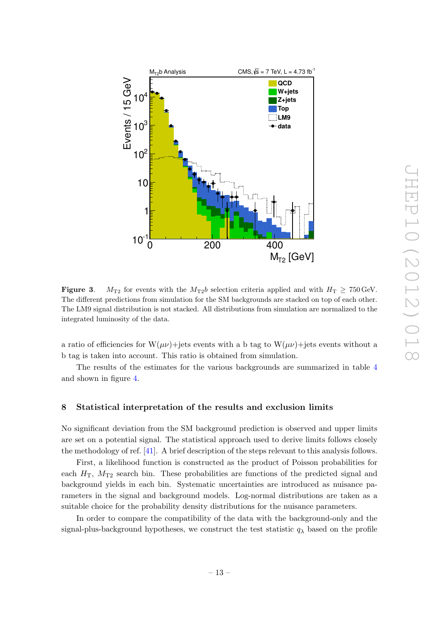

<span id="page-13-1"></span>**Figure 3.**  $M_{\text{T2}}$  for events with the  $M_{\text{T2}}$ b selection criteria applied and with  $H_{\text{T}} \geq 750 \,\text{GeV}$ . The different predictions from simulation for the SM backgrounds are stacked on top of each other. The LM9 signal distribution is not stacked. All distributions from simulation are normalized to the integrated luminosity of the data.

a ratio of efficiencies for  $W(\mu\nu)$ +jets events with a b tag to  $W(\mu\nu)$ +jets events without a b tag is taken into account. This ratio is obtained from simulation.

The results of the estimates for the various backgrounds are summarized in table [4](#page-14-1) and shown in figure [4.](#page-15-1)

#### <span id="page-13-0"></span>8 Statistical interpretation of the results and exclusion limits

No significant deviation from the SM background prediction is observed and upper limits are set on a potential signal. The statistical approach used to derive limits follows closely the methodology of ref. [\[41\]](#page-22-3). A brief description of the steps relevant to this analysis follows.

First, a likelihood function is constructed as the product of Poisson probabilities for each  $H_T$ ,  $M_{T2}$  search bin. These probabilities are functions of the predicted signal and background yields in each bin. Systematic uncertainties are introduced as nuisance parameters in the signal and background models. Log-normal distributions are taken as a suitable choice for the probability density distributions for the nuisance parameters.

In order to compare the compatibility of the data with the background-only and the signal-plus-background hypotheses, we construct the test statistic  $q_{\lambda}$  based on the profile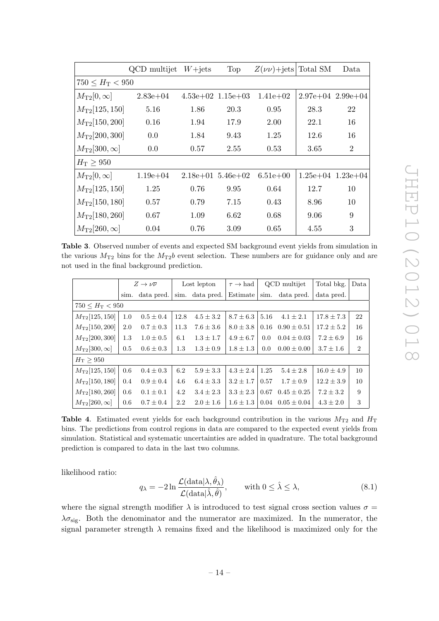|                            | QCD multijet | $W + jets$ | Top                   | $Z(\nu\nu)$ +jets Total SM |      | Data                  |  |  |
|----------------------------|--------------|------------|-----------------------|----------------------------|------|-----------------------|--|--|
| $750 \leq H_{\rm T} < 950$ |              |            |                       |                            |      |                       |  |  |
| $M_{\rm T2}[0,\infty]$     | $2.83e+04$   |            | $4.53e+02$ 1.15e + 03 | $1.41e+02$                 |      | $2.97e+04$ $2.99e+04$ |  |  |
| $M_{\text{T2}}[125, 150]$  | 5.16         | 1.86       | 20.3                  | 0.95                       | 28.3 | 22                    |  |  |
| $M_{\text{T2}}[150, 200]$  | 0.16         | 1.94       | 17.9                  | 2.00                       | 22.1 | 16                    |  |  |
| $M_{\rm T2}[200, 300]$     | 0.0          | 1.84       | 9.43                  | 1.25                       | 12.6 | 16                    |  |  |
| $M_{\rm T2}[300,\infty]$   | 0.0          | 0.57       | 2.55                  | 0.53                       | 3.65 | $\overline{2}$        |  |  |
| $H_{\rm T} \geq 950$       |              |            |                       |                            |      |                       |  |  |
| $M_{\rm T2}[0,\infty]$     | $1.19e + 04$ |            | $2.18e+01$ 5.46e + 02 | $6.51e+00$                 |      | $1.25e+04$ $1.23e+04$ |  |  |
| $M_{\rm T2}[125, 150]$     | 1.25         | 0.76       | 9.95                  | 0.64                       | 12.7 | 10                    |  |  |
| $M_{\text{T2}}[150, 180]$  | 0.57         | 0.79       | 7.15                  | 0.43                       | 8.96 | 10                    |  |  |
| $M_{\text{T2}}[180, 260]$  | 0.67         | 1.09       | 6.62                  | 0.68                       | 9.06 | 9                     |  |  |
| $M_{\rm T2}[260,\infty]$   | 0.04         | 0.76       | 3.09                  | 0.65                       | 4.55 | 3                     |  |  |

<span id="page-14-0"></span>Table 3. Observed number of events and expected SM background event yields from simulation in the various  $M_{T2}$  bins for the  $M_{T2}b$  event selection. These numbers are for guidance only and are not used in the final background prediction.

|                            | $Z\to\nu\overline{\nu}$ |               | Lost lepton |                 | $\tau \rightarrow$ had | QCD multijet |                        | Total bkg.     | Data           |
|----------------------------|-------------------------|---------------|-------------|-----------------|------------------------|--------------|------------------------|----------------|----------------|
|                            | sim.                    | data pred.    |             | sim. data pred. | Estimate               |              | sim. data pred.        | data pred.     |                |
| $750 \leq H_{\rm T} < 950$ |                         |               |             |                 |                        |              |                        |                |                |
| $M_{\rm T2}[125, 150]$     | 1.0                     | $0.5 \pm 0.4$ | 12.8        | $4.5 \pm 3.2$   | $8.7 \pm 6.3$          | 5.16         | $4.1 \pm 2.1$          | $17.8 \pm 7.3$ | 22             |
| $M_{\rm T2}[150, 200]$     | 2.0                     | $0.7 \pm 0.3$ | 11.3        | $7.6 \pm 3.6$   | $8.0 \pm 3.8$          | 0.16         | $0.90 \pm 0.51$        | $17.2 \pm 5.2$ | 16             |
| $M_{\rm T2}[200, 300]$     | 1.3                     | $1.0 \pm 0.5$ | 6.1         | $1.3 \pm 1.7$   | $4.9 \pm 6.7$          | 0.0          | $0.04 \pm 0.03$        | $7.2 \pm 6.9$  | 16             |
| $M_{\rm T2}[300,\infty]$   | 0.5                     | $0.6 \pm 0.3$ | 1.3         | $1.3 \pm 0.9$   | $1.8 \pm 1.3$          | 0.0          | $0.00 \pm 0.00$        | $3.7 \pm 1.6$  | $\overline{2}$ |
| $H_{\rm T} > 950$          |                         |               |             |                 |                        |              |                        |                |                |
| $M_{\rm T2}[125, 150]$     | 0.6                     | $0.4 \pm 0.3$ | 6.2         | $5.9 \pm 3.3$   | $4.3 \pm 2.4$          | 1.25         | $5.4 \pm 2.8$          | $16.0 \pm 4.9$ | 10             |
| $M_{\rm T2}[150, 180]$     | 0.4                     | $0.9 \pm 0.4$ | 4.6         | $6.4 \pm 3.3$   | $3.2 \pm 1.7$          | 0.57         | $1.7 \pm 0.9$          | $12.2 \pm 3.9$ | 10             |
| $M_{\rm T2}[180, 260]$     | 0.6                     | $0.1 \pm 0.1$ | 4.2         | $3.4 \pm 2.3$   | $3.3 \pm 2.3$          | 0.67         | $0.45 \pm 0.25$        | $7.2 \pm 3.2$  | 9              |
| $M_{\rm T2}[260,\infty]$   | 0.6                     | $0.7 \pm 0.4$ | 2.2         | $2.0 \pm 1.6$   | $1.6 \pm 1.3$          |              | $0.04$ $0.05 \pm 0.04$ | $4.3 \pm 2.0$  | 3              |

<span id="page-14-1"></span>Table 4. Estimated event yields for each background contribution in the various  $M_{\text{T2}}$  and  $H_{\text{T}}$ bins. The predictions from control regions in data are compared to the expected event yields from simulation. Statistical and systematic uncertainties are added in quadrature. The total background prediction is compared to data in the last two columns.

likelihood ratio:

$$
q_{\lambda} = -2 \ln \frac{\mathcal{L}(\text{data}|\lambda, \hat{\theta}_{\lambda})}{\mathcal{L}(\text{data}|\hat{\lambda}, \hat{\theta})}, \quad \text{with } 0 \le \hat{\lambda} \le \lambda,
$$
 (8.1)

where the signal strength modifier  $\lambda$  is introduced to test signal cross section values  $\sigma =$  $\lambda \sigma_{\rm sig}$ . Both the denominator and the numerator are maximized. In the numerator, the signal parameter strength  $\lambda$  remains fixed and the likelihood is maximized only for the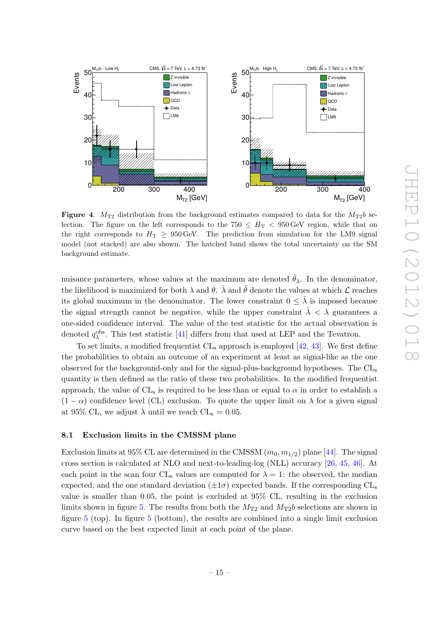

<span id="page-15-1"></span>**Figure 4.**  $M_{\text{T2}}$  distribution from the background estimates compared to data for the  $M_{\text{T2}}$ b selection. The figure on the left corresponds to the 750  $\leq H_{\rm T}$  < 950 GeV region, while that on the right corresponds to  $H_T \geq 950 \,\text{GeV}$ . The prediction from simulation for the LM9 signal model (not stacked) are also shown. The hatched band shows the total uncertainty on the SM background estimate.

nuisance parameters, whose values at the maximum are denoted  $\hat{\theta}_{\lambda}$ . In the denominator, the likelihood is maximized for both  $\lambda$  and  $\hat{\theta}$ .  $\hat{\lambda}$  and  $\hat{\theta}$  denote the values at which  $\mathcal L$  reaches its global maximum in the denominator. The lower constraint  $0 \leq \hat{\lambda}$  is imposed because the signal strength cannot be negative, while the upper constraint  $\lambda < \lambda$  guarantees a one-sided confidence interval. The value of the test statistic for the actual observation is denoted  $q_{\lambda}^{\text{obs}}$ . This test statistic [\[41\]](#page-22-3) differs from that used at LEP and the Tevatron.

To set limits, a modified frequentist  $CL_s$  approach is employed [\[42,](#page-22-4) [43\]](#page-22-5). We first define the probabilities to obtain an outcome of an experiment at least as signal-like as the one observed for the background-only and for the signal-plus-background hypotheses. The CL<sup>s</sup> quantity is then defined as the ratio of these two probabilities. In the modified frequentist approach, the value of  $CL<sub>s</sub>$  is required to be less than or equal to  $\alpha$  in order to establish a  $(1 - \alpha)$  confidence level (CL) exclusion. To quote the upper limit on  $\lambda$  for a given signal at 95% CL, we adjust  $\lambda$  until we reach CL<sub>s</sub> = 0.05.

### <span id="page-15-0"></span>8.1 Exclusion limits in the CMSSM plane

Exclusion limits at 95% CL are determined in the CMSSM  $(m_0, m_{1/2})$  plane [\[44\]](#page-22-6). The signal cross section is calculated at NLO and next-to-leading-log (NLL) accuracy [\[26,](#page-21-8) [45,](#page-22-7) [46\]](#page-22-8). At each point in the scan four  $CL<sub>s</sub>$  values are computed for  $\lambda = 1$ : the observed, the median expected, and the one standard deviation  $(\pm 1\sigma)$  expected bands. If the corresponding CL<sub>s</sub> value is smaller than 0.05, the point is excluded at 95% CL, resulting in the exclusion limits shown in figure [5.](#page-16-0) The results from both the  $M_{T2}$  and  $M_{T2}b$  selections are shown in figure [5](#page-16-0) (top). In figure [5](#page-16-0) (bottom), the results are combined into a single limit exclusion curve based on the best expected limit at each point of the plane.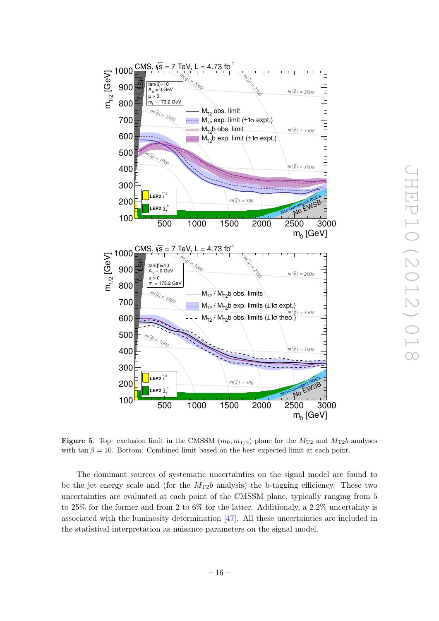

<span id="page-16-0"></span>Figure 5. Top: exclusion limit in the CMSSM  $(m_0, m_{1/2})$  plane for the  $M_{T2}$  and  $M_{T2}b$  analyses with tan  $\beta = 10$ . Bottom: Combined limit based on the best expected limit at each point.

The dominant sources of systematic uncertainties on the signal model are found to be the jet energy scale and (for the  $M_{T2}b$  analysis) the b-tagging efficiency. These two uncertainties are evaluated at each point of the CMSSM plane, typically ranging from 5 to 25% for the former and from 2 to 6% for the latter. Additionaly, a 2.2% uncertainty is associated with the luminosity determination [\[47\]](#page-22-9). All these uncertainties are included in the statistical interpretation as nuisance parameters on the signal model.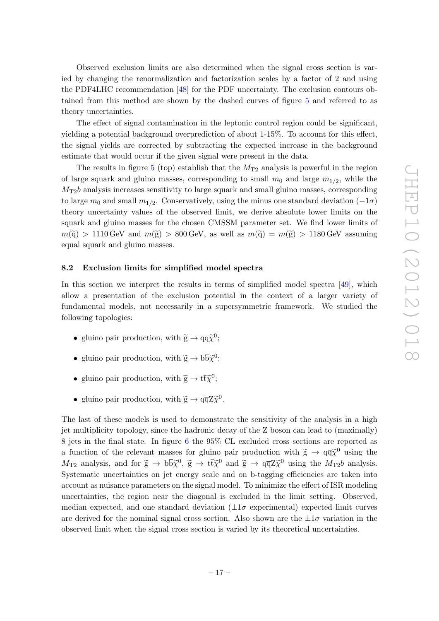Observed exclusion limits are also determined when the signal cross section is varied by changing the renormalization and factorization scales by a factor of 2 and using the PDF4LHC recommendation [\[48\]](#page-22-10) for the PDF uncertainty. The exclusion contours obtained from this method are shown by the dashed curves of figure [5](#page-16-0) and referred to as theory uncertainties.

The effect of signal contamination in the leptonic control region could be significant, yielding a potential background overprediction of about 1-15%. To account for this effect, the signal yields are corrected by subtracting the expected increase in the background estimate that would occur if the given signal were present in the data.

The results in figure [5](#page-16-0) (top) establish that the  $M_{T2}$  analysis is powerful in the region of large squark and gluino masses, corresponding to small  $m_0$  and large  $m_{1/2}$ , while the  $M_{\text{T2}}$ b analysis increases sensitivity to large squark and small gluino masses, corresponding to large  $m_0$  and small  $m_{1/2}$ . Conservatively, using the minus one standard deviation  $(-1\sigma)$ theory uncertainty values of the observed limit, we derive absolute lower limits on the squark and gluino masses for the chosen CMSSM parameter set. We find lower limits of  $m(\tilde{q}) > 1110 \,\text{GeV}$  and  $m(\tilde{g}) > 800 \,\text{GeV}$ , as well as  $m(\tilde{q}) = m(\tilde{g}) > 1180 \,\text{GeV}$  assuming equal squark and gluino masses.

#### <span id="page-17-0"></span>8.2 Exclusion limits for simplified model spectra

In this section we interpret the results in terms of simplified model spectra [\[49\]](#page-22-11), which allow a presentation of the exclusion potential in the context of a larger variety of fundamental models, not necessarily in a supersymmetric framework. We studied the following topologies:

- gluino pair production, with  $\tilde{g} \to q\bar{q}\tilde{\chi}^0$ ;
- gluino pair production, with  $\tilde{g} \to b\overline{b}\tilde{\chi}^0$ ;
- gluino pair production, with  $\tilde{g} \to t\bar{t}\tilde{\chi}^0$ ;
- gluino pair production, with  $\tilde{g} \to q\bar{q}Z\tilde{\chi}^0$ .

The last of these models is used to demonstrate the sensitivity of the analysis in a high jet multiplicity topology, since the hadronic decay of the Z boson can lead to (maximally) 8 jets in the final state. In figure [6](#page-18-1) the 95% CL excluded cross sections are reported as a function of the relevant masses for gluino pair production with  $\tilde{g} \to q\bar{q}\tilde{\chi}^0$  using the  $M_{\text{T2}}$  analysis, and for  $\tilde{\text{g}} \to b\overline{b}\tilde{\chi}^0$ ,  $\tilde{\text{g}} \to t\overline{t}\tilde{\chi}^0$  and  $\tilde{\text{g}} \to q\overline{q}Z\tilde{\chi}^0$  using the  $M_{\text{T2}}b$  analysis. Systematic uncertainties on jet energy scale and on b-tagging efficiencies are taken into account as nuisance parameters on the signal model. To minimize the effect of ISR modeling uncertainties, the region near the diagonal is excluded in the limit setting. Observed, median expected, and one standard deviation  $(\pm 1\sigma$  experimental) expected limit curves are derived for the nominal signal cross section. Also shown are the  $\pm 1\sigma$  variation in the observed limit when the signal cross section is varied by its theoretical uncertainties.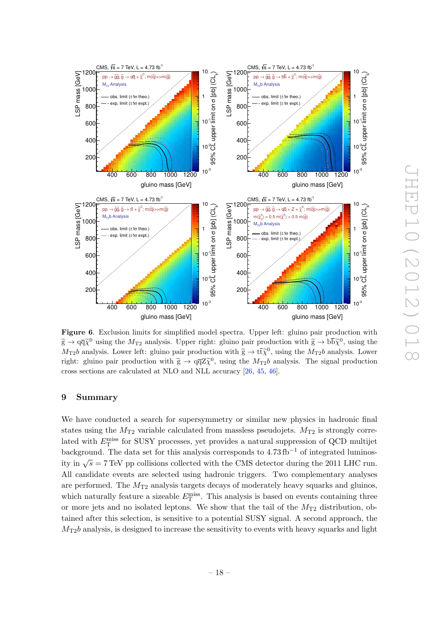

<span id="page-18-1"></span>Figure 6. Exclusion limits for simplified model spectra. Upper left: gluino pair production with  $\widetilde{g} \to q\overline{q}\widetilde{\chi}^0$  using the  $M_{T2}$  analysis. Upper right: gluino pair production with  $\widetilde{g} \to b\overline{b}\widetilde{\chi}^0$ , using the  $M_{\phi}$  h analysis. Letteral integration with  $\widetilde{\chi} \to t\overline{\chi}^0$  using the  $M_{\phi}$  h  $M_{\text{T2}}$ b analysis. Lower left: gluino pair production with  $\tilde{g} \to t\tilde{t}\tilde{\chi}^0$ , using the  $M_{\text{T2}}$ b analysis. Lower right: gluino pair production with  $\tilde{g} \to q\bar{q}Z\tilde{\chi}^0$ , using the  $M_{T2}b$  analysis. The signal production cross sections are calculated at NLO and NLL accuracy [\[26,](#page-21-8) [45,](#page-22-7) [46\]](#page-22-8).

### <span id="page-18-0"></span>9 Summary

We have conducted a search for supersymmetry or similar new physics in hadronic final states using the  $M_{T2}$  variable calculated from massless pseudojets.  $M_{T2}$  is strongly correlated with  $E_{\rm T}^{\rm miss}$  for SUSY processes, yet provides a natural suppression of QCD multijet background. The data set for this analysis corresponds to  $4.73 \text{ fb}^{-1}$  of integrated luminosity in  $\sqrt{s} = 7$  TeV pp collisions collected with the CMS detector during the 2011 LHC run. All candidate events are selected using hadronic triggers. Two complementary analyses are performed. The  $M_{T2}$  analysis targets decays of moderately heavy squarks and gluinos, which naturally feature a sizeable  $E_{\rm T}^{\rm miss}$ . This analysis is based on events containing three or more jets and no isolated leptons. We show that the tail of the  $M_{T2}$  distribution, obtained after this selection, is sensitive to a potential SUSY signal. A second approach, the  $M<sub>T2</sub>b$  analysis, is designed to increase the sensitivity to events with heavy squarks and light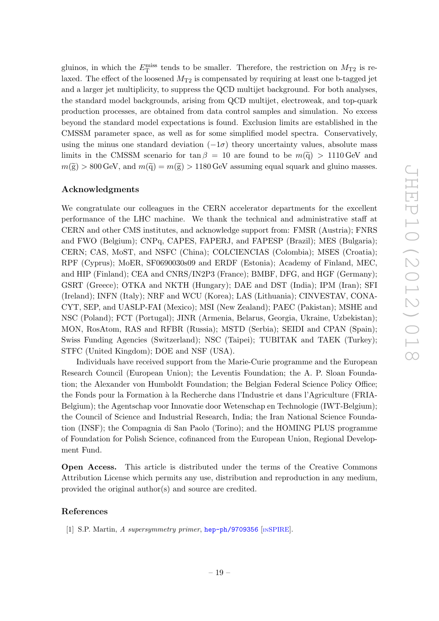gluinos, in which the  $E_{\rm T}^{\rm miss}$  tends to be smaller. Therefore, the restriction on  $M_{\rm T2}$  is relaxed. The effect of the loosened  $M_{T2}$  is compensated by requiring at least one b-tagged jet and a larger jet multiplicity, to suppress the QCD multijet background. For both analyses, the standard model backgrounds, arising from QCD multijet, electroweak, and top-quark production processes, are obtained from data control samples and simulation. No excess beyond the standard model expectations is found. Exclusion limits are established in the CMSSM parameter space, as well as for some simplified model spectra. Conservatively, using the minus one standard deviation  $(-1\sigma)$  theory uncertainty values, absolute mass limits in the CMSSM scenario for tan  $\beta = 10$  are found to be  $m(\tilde{q}) > 1110 \,\text{GeV}$  and  $m(\tilde{g}) > 800 \,\text{GeV}$ , and  $m(\tilde{q}) = m(\tilde{g}) > 1180 \,\text{GeV}$  assuming equal squark and gluino masses.

### Acknowledgments

We congratulate our colleagues in the CERN accelerator departments for the excellent performance of the LHC machine. We thank the technical and administrative staff at CERN and other CMS institutes, and acknowledge support from: FMSR (Austria); FNRS and FWO (Belgium); CNPq, CAPES, FAPERJ, and FAPESP (Brazil); MES (Bulgaria); CERN; CAS, MoST, and NSFC (China); COLCIENCIAS (Colombia); MSES (Croatia); RPF (Cyprus); MoER, SF0690030s09 and ERDF (Estonia); Academy of Finland, MEC, and HIP (Finland); CEA and CNRS/IN2P3 (France); BMBF, DFG, and HGF (Germany); GSRT (Greece); OTKA and NKTH (Hungary); DAE and DST (India); IPM (Iran); SFI (Ireland); INFN (Italy); NRF and WCU (Korea); LAS (Lithuania); CINVESTAV, CONA-CYT, SEP, and UASLP-FAI (Mexico); MSI (New Zealand); PAEC (Pakistan); MSHE and NSC (Poland); FCT (Portugal); JINR (Armenia, Belarus, Georgia, Ukraine, Uzbekistan); MON, RosAtom, RAS and RFBR (Russia); MSTD (Serbia); SEIDI and CPAN (Spain); Swiss Funding Agencies (Switzerland); NSC (Taipei); TUBITAK and TAEK (Turkey); STFC (United Kingdom); DOE and NSF (USA).

Individuals have received support from the Marie-Curie programme and the European Research Council (European Union); the Leventis Foundation; the A. P. Sloan Foundation; the Alexander von Humboldt Foundation; the Belgian Federal Science Policy Office; the Fonds pour la Formation à la Recherche dans l'Industrie et dans l'Agriculture (FRIA-Belgium); the Agentschap voor Innovatie door Wetenschap en Technologie (IWT-Belgium); the Council of Science and Industrial Research, India; the Iran National Science Foundation (INSF); the Compagnia di San Paolo (Torino); and the HOMING PLUS programme of Foundation for Polish Science, cofinanced from the European Union, Regional Development Fund.

Open Access. This article is distributed under the terms of the Creative Commons Attribution License which permits any use, distribution and reproduction in any medium, provided the original author(s) and source are credited.

### References

<span id="page-19-0"></span>[1] S.P. Martin, A supersymmetry primer, [hep-ph/9709356](http://arxiv.org/abs/hep-ph/9709356) [IN[SPIRE](http://inspirehep.net/search?p=find+EPRINT+hep-ph/9709356)].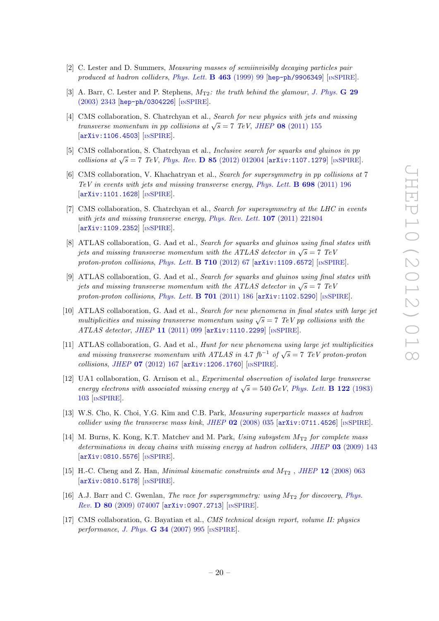- <span id="page-20-0"></span>[2] C. Lester and D. Summers, Measuring masses of semiinvisibly decaying particles pair produced at hadron colliders, [Phys. Lett.](http://dx.doi.org/10.1016/S0370-2693(99)00945-4)  $\bf{B}$  463 (1999) 99 [[hep-ph/9906349](http://arxiv.org/abs/hep-ph/9906349)] [IN[SPIRE](http://inspirehep.net/search?p=find+EPRINT+hep-ph/9906349)].
- <span id="page-20-1"></span>[3] A. Barr, C. Lester and P. Stephens,  $M_{T2}$ : the truth behind the glamour, [J. Phys.](http://dx.doi.org/10.1088/0954-3899/29/10/304) **G 29** [\(2003\) 2343](http://dx.doi.org/10.1088/0954-3899/29/10/304) [[hep-ph/0304226](http://arxiv.org/abs/hep-ph/0304226)] [IN[SPIRE](http://inspirehep.net/search?p=find+EPRINT+hep-ph/0304226)].
- <span id="page-20-2"></span>[4] CMS collaboration, S. Chatrchyan et al., Search for new physics with jets and missing transverse momentum in pp collisions at  $\sqrt{s} = 7$  TeV, JHEP 08 [\(2011\) 155](http://dx.doi.org/10.1007/JHEP08(2011)155) [[arXiv:1106.4503](http://arxiv.org/abs/1106.4503)] [IN[SPIRE](http://inspirehep.net/search?p=find+EPRINT+arXiv:1106.4503)].
- [5] CMS collaboration, S. Chatrchyan et al., Inclusive search for squarks and gluinos in pp collisions at  $\sqrt{s} = 7$  TeV, Phys. Rev. **D** 85 [\(2012\) 012004](http://dx.doi.org/10.1103/PhysRevD.85.012004) [[arXiv:1107.1279](http://arxiv.org/abs/1107.1279)] [IN[SPIRE](http://inspirehep.net/search?p=find+EPRINT+arXiv:1107.1279)].
- [6] CMS collaboration, V. Khachatryan et al., Search for supersymmetry in pp collisions at 7  $TeV$  in events with jets and missing transverse energy, [Phys. Lett.](http://dx.doi.org/10.1016/j.physletb.2011.03.021) **B** 698 (2011) 196 [[arXiv:1101.1628](http://arxiv.org/abs/1101.1628)] [IN[SPIRE](http://inspirehep.net/search?p=find+EPRINT+arXiv:1101.1628)].
- <span id="page-20-3"></span>[7] CMS collaboration, S. Chatrchyan et al., Search for supersymmetry at the LHC in events with jets and missing transverse energy, [Phys. Rev. Lett.](http://dx.doi.org/10.1103/PhysRevLett.107.221804) **107** (2011) 221804 [[arXiv:1109.2352](http://arxiv.org/abs/1109.2352)] [IN[SPIRE](http://inspirehep.net/search?p=find+EPRINT+arXiv:1109.2352)].
- <span id="page-20-4"></span>[8] ATLAS collaboration, G. Aad et al., Search for squarks and gluinos using final states with  $jets$  and missing transverse momentum with the ATLAS detector in  $\sqrt{s} = 7$  TeV proton-proton collisions, [Phys. Lett.](http://dx.doi.org/10.1016/j.physletb.2012.02.051)  $\bf{B}$  710 (2012) 67 [[arXiv:1109.6572](http://arxiv.org/abs/1109.6572)] [IN[SPIRE](http://inspirehep.net/search?p=find+EPRINT+arXiv:1109.6572)].
- [9] ATLAS collaboration, G. Aad et al., Search for squarks and gluinos using final states with  $jets$  and missing transverse momentum with the ATLAS detector in  $\sqrt{s} = 7$  TeV proton-proton collisions, [Phys. Lett.](http://dx.doi.org/10.1016/j.physletb.2011.05.061) **B** 701 (2011) 186  $\left[\text{arXiv:1102.5290}\right]$  $\left[\text{arXiv:1102.5290}\right]$  $\left[\text{arXiv:1102.5290}\right]$   $\left[\text{insPIRE}\right]$ .
- [10] ATLAS collaboration, G. Aad et al., Search for new phenomena in final states with large jet multiplicities and missing transverse momentum using  $\sqrt{s} = 7$  TeV pp collisions with the ATLAS detector, JHEP 11 [\(2011\) 099](http://dx.doi.org/10.1007/JHEP11(2011)099) [[arXiv:1110.2299](http://arxiv.org/abs/1110.2299)] [IN[SPIRE](http://inspirehep.net/search?p=find+EPRINT+arXiv:1110.2299)].
- <span id="page-20-5"></span>[11] ATLAS collaboration, G. Aad et al., *Hunt for new phenomena using large jet multiplicities* and missing transverse momentum with ATLAS in 4.7  $fb^{-1}$  of  $\sqrt{s} = 7$  TeV proton-proton  $collisions, JHEP$  07 [\(2012\) 167](http://dx.doi.org/10.1007/JHEP07(2012)167)  $[$ [arXiv:1206.1760](http://arxiv.org/abs/1206.1760) $]$   $[$ IN[SPIRE](http://inspirehep.net/search?p=find+EPRINT+arXiv:1206.1760)].
- <span id="page-20-6"></span>[12] UA1 collaboration, G. Arnison et al., *Experimental observation of isolated large transverse* energy electrons with associated missing energy at  $\sqrt{s} = 540$  GeV, [Phys. Lett.](http://dx.doi.org/10.1016/0370-2693(83)91177-2) **B 122** (1983) [103](http://dx.doi.org/10.1016/0370-2693(83)91177-2) [IN[SPIRE](http://inspirehep.net/search?p=find+J+Phys.Lett.,B122,103)].
- <span id="page-20-7"></span>[13] W.S. Cho, K. Choi, Y.G. Kim and C.B. Park, Measuring superparticle masses at hadron collider using the transverse mass kink, JHEP  $02$  [\(2008\) 035](http://dx.doi.org/10.1088/1126-6708/2008/02/035) [[arXiv:0711.4526](http://arxiv.org/abs/0711.4526)] [IN[SPIRE](http://inspirehep.net/search?p=find+EPRINT+arXiv:0711.4526)].
- <span id="page-20-8"></span>[14] M. Burns, K. Kong, K.T. Matchev and M. Park, Using subsystem  $M_{T2}$  for complete mass determinations in decay chains with missing energy at hadron colliders, JHEP 03 [\(2009\) 143](http://dx.doi.org/10.1088/1126-6708/2009/03/143) [[arXiv:0810.5576](http://arxiv.org/abs/0810.5576)] [IN[SPIRE](http://inspirehep.net/search?p=find+EPRINT+arXiv:0810.5576)].
- <span id="page-20-9"></span>[15] H.-C. Cheng and Z. Han, *Minimal kinematic constraints and*  $M_{T2}$ , *JHEP* 12 [\(2008\) 063](http://dx.doi.org/10.1088/1126-6708/2008/12/063) [[arXiv:0810.5178](http://arxiv.org/abs/0810.5178)] [IN[SPIRE](http://inspirehep.net/search?p=find+EPRINT+arXiv:0810.5178)].
- <span id="page-20-10"></span>[16] A.J. Barr and C. Gwenlan, The race for supersymmetry: using  $M_{T2}$  for discovery, [Phys.](http://dx.doi.org/10.1103/PhysRevD.80.074007) Rev. D 80 [\(2009\) 074007](http://dx.doi.org/10.1103/PhysRevD.80.074007) [[arXiv:0907.2713](http://arxiv.org/abs/0907.2713)] [IN[SPIRE](http://inspirehep.net/search?p=find+EPRINT+arXiv:0907.2713)].
- <span id="page-20-11"></span>[17] CMS collaboration, G. Bayatian et al., CMS technical design report, volume II: physics performance, J. Phys.  $G$  34 [\(2007\) 995](http://dx.doi.org/10.1088/0954-3899/34/6/S01)  $\text{INSPIRE}$  $\text{INSPIRE}$  $\text{INSPIRE}$ .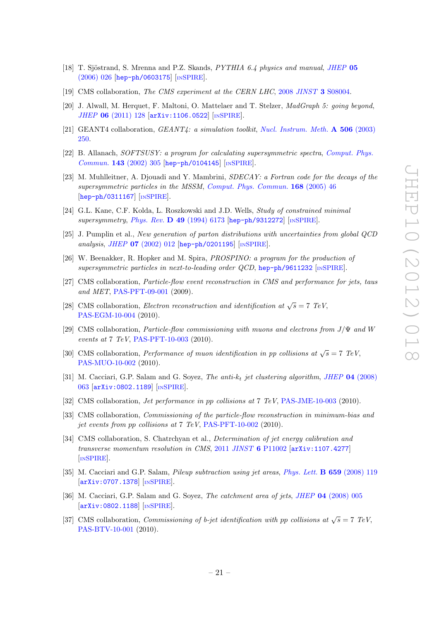- <span id="page-21-0"></span>[18] T. Sjöstrand, S. Mrenna and P.Z. Skands,  $PYTHIA$  6.4 physics and manual, [JHEP](http://dx.doi.org/10.1088/1126-6708/2006/05/026) 05 [\(2006\) 026](http://dx.doi.org/10.1088/1126-6708/2006/05/026) [[hep-ph/0603175](http://arxiv.org/abs/hep-ph/0603175)] [IN[SPIRE](http://inspirehep.net/search?p=find+EPRINT+hep-ph/0603175)].
- <span id="page-21-1"></span>[19] CMS collaboration, *The CMS experiment at the CERN LHC*, 2008 *JINST* **3** [S08004.](http://dx.doi.org/10.1088/1748-0221/3/08/S08004)
- <span id="page-21-2"></span>[20] J. Alwall, M. Herquet, F. Maltoni, O. Mattelaer and T. Stelzer, MadGraph 5: going beyond, JHEP 06 [\(2011\) 128](http://dx.doi.org/10.1007/JHEP06(2011)128) [[arXiv:1106.0522](http://arxiv.org/abs/1106.0522)] [IN[SPIRE](http://inspirehep.net/search?p=find+EPRINT+arXiv:1106.0522)].
- <span id="page-21-3"></span>[21] GEANT4 collaboration, *GEANT4: a simulation toolkit, [Nucl. Instrum. Meth.](http://dx.doi.org/10.1016/S0168-9002(03)01368-8)* A 506 (2003) [250.](http://dx.doi.org/10.1016/S0168-9002(03)01368-8)
- <span id="page-21-4"></span>[22] B. Allanach, SOFTSUSY: a program for calculating supersymmetric spectra, [Comput. Phys.](http://dx.doi.org/10.1016/S0010-4655(01)00460-X) Commun. 143 [\(2002\) 305](http://dx.doi.org/10.1016/S0010-4655(01)00460-X) [[hep-ph/0104145](http://arxiv.org/abs/hep-ph/0104145)] [IN[SPIRE](http://inspirehep.net/search?p=find+J+Comput.Phys.Commun.,143,305)].
- <span id="page-21-5"></span>[23] M. Muhlleitner, A. Djouadi and Y. Mambrini, SDECAY: a Fortran code for the decays of the supersymmetric particles in the MSSM, [Comput. Phys. Commun.](http://dx.doi.org/10.1016/j.cpc.2005.01.012) 168 (2005) 46 [[hep-ph/0311167](http://arxiv.org/abs/hep-ph/0311167)] [IN[SPIRE](http://inspirehep.net/search?p=find+EPRINT+hep-ph/0311167)].
- <span id="page-21-6"></span>[24] G.L. Kane, C.F. Kolda, L. Roszkowski and J.D. Wells, Study of constrained minimal supersymmetry, Phys. Rev. D 49 [\(1994\) 6173](http://dx.doi.org/10.1103/PhysRevD.49.6173) [[hep-ph/9312272](http://arxiv.org/abs/hep-ph/9312272)] [IN[SPIRE](http://inspirehep.net/search?p=find+EPRINT+hep-ph/9312272)].
- <span id="page-21-7"></span>[25] J. Pumplin et al., New generation of parton distributions with uncertainties from global QCD analysis, JHEP 07 [\(2002\) 012](http://dx.doi.org/10.1088/1126-6708/2002/07/012) [[hep-ph/0201195](http://arxiv.org/abs/hep-ph/0201195)] [IN[SPIRE](http://inspirehep.net/search?p=find+EPRINT+hep-ph/0201195)].
- <span id="page-21-8"></span>[26] W. Beenakker, R. Hopker and M. Spira, PROSPINO: a program for the production of supersymmetric particles in next-to-leading order QCD, [hep-ph/9611232](http://arxiv.org/abs/hep-ph/9611232) [IN[SPIRE](http://inspirehep.net/search?p=find+EPRINT+hep-ph/9611232)].
- <span id="page-21-9"></span>[27] CMS collaboration, Particle-flow event reconstruction in CMS and performance for jets, taus and MET, [PAS-PFT-09-001](http://cdsweb.cern.ch/record/1194487) (2009).
- <span id="page-21-10"></span>[28] CMS collaboration, *Electron reconstruction and identification at*  $\sqrt{s} = 7$  TeV, [PAS-EGM-10-004](http://cdsweb.cern.ch/record/1299116) (2010).
- <span id="page-21-11"></span>[29] CMS collaboration, *Particle-flow commissioning with muons and electrons from J*/Ψ and W events at 7 TeV, [PAS-PFT-10-003](http://cdsweb.cern.ch/record/1279347) (2010).
- <span id="page-21-12"></span>[30] CMS collaboration, *Performance of muon identification in pp collisions at*  $\sqrt{s} = 7$  TeV, [PAS-MUO-10-002](http://cdsweb.cern.ch/record/1279140) (2010).
- <span id="page-21-13"></span>[31] M. Cacciari, G.P. Salam and G. Soyez, The anti- $k_t$  jet clustering algorithm, JHEP 04 [\(2008\)](http://dx.doi.org/10.1088/1126-6708/2008/04/063) [063](http://dx.doi.org/10.1088/1126-6708/2008/04/063) [[arXiv:0802.1189](http://arxiv.org/abs/0802.1189)] [IN[SPIRE](http://inspirehep.net/search?p=find+EPRINT+arXiv:0802.1189)].
- <span id="page-21-14"></span>[32] CMS collaboration, *Jet performance in pp collisions at* 7 TeV, [PAS-JME-10-003](http://cdsweb.cern.ch/record/1279362) (2010).
- <span id="page-21-15"></span>[33] CMS collaboration, Commissioning of the particle-flow reconstruction in minimum-bias and jet events from pp collisions at 7 TeV, [PAS-PFT-10-002](http://cdsweb.cern.ch/record/1279341) (2010).
- <span id="page-21-16"></span>[34] CMS collaboration, S. Chatrchyan et al., Determination of jet energy calibration and transverse momentum resolution in CMS, 2011 JINST 6 [P11002](http://dx.doi.org/10.1088/1748-0221/6/11/P11002) [[arXiv:1107.4277](http://arxiv.org/abs/1107.4277)] [IN[SPIRE](http://inspirehep.net/search?p=find+EPRINT+arXiv:1107.4277)].
- <span id="page-21-17"></span>[35] M. Cacciari and G.P. Salam, Pileup subtraction using jet areas, [Phys. Lett.](http://dx.doi.org/10.1016/j.physletb.2007.09.077) B 659 (2008) 119 [[arXiv:0707.1378](http://arxiv.org/abs/0707.1378)] [IN[SPIRE](http://inspirehep.net/search?p=find+EPRINT+arXiv:0707.1378)].
- <span id="page-21-18"></span>[36] M. Cacciari, G.P. Salam and G. Soyez, *The catchment area of jets, JHEP* 04 [\(2008\) 005](http://dx.doi.org/10.1088/1126-6708/2008/04/005) [[arXiv:0802.1188](http://arxiv.org/abs/0802.1188)] [IN[SPIRE](http://inspirehep.net/search?p=find+EPRINT+arXiv:0802.1188)].
- <span id="page-21-19"></span>[37] CMS collaboration, *Commissioning of b-jet identification with pp collisions at*  $\sqrt{s} = 7$  TeV, [PAS-BTV-10-001](http://cdsweb.cern.ch/record/1279144) (2010).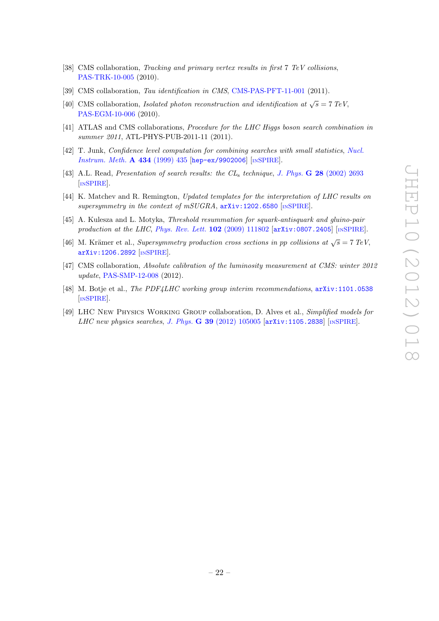- <span id="page-22-0"></span>[38] CMS collaboration, *Tracking and primary vertex results in first* 7 TeV collisions, [PAS-TRK-10-005](http://cdsweb.cern.ch/record/1279383) (2010).
- <span id="page-22-1"></span>[39] CMS collaboration, Tau identification in CMS, [CMS-PAS-PFT-11-001](http://cdsweb.cern.ch/record/1337004) (2011).
- <span id="page-22-2"></span>[40] CMS collaboration, *Isolated photon reconstruction and identification at*  $\sqrt{s} = 7 \text{ TeV}$ , [PAS-EGM-10-006](http://cdsweb.cern.ch/record/1324545) (2010).
- <span id="page-22-3"></span>[41] ATLAS and CMS collaborations, Procedure for the LHC Higgs boson search combination in summer 2011, ATL-PHYS-PUB-2011-11 (2011).
- <span id="page-22-4"></span>[42] T. Junk, Confidence level computation for combining searches with small statistics, [Nucl.](http://dx.doi.org/10.1016/S0168-9002(99)00498-2) [Instrum. Meth.](http://dx.doi.org/10.1016/S0168-9002(99)00498-2) A 434 (1999) 435 [[hep-ex/9902006](http://arxiv.org/abs/hep-ex/9902006)] [IN[SPIRE](http://inspirehep.net/search?p=find+EPRINT+hep-ex/9902006)].
- <span id="page-22-5"></span>[43] A.L. Read, Presentation of search results: the CL<sub>s</sub> technique, J. Phys. **G 28** [\(2002\) 2693](http://dx.doi.org/10.1088/0954-3899/28/10/313) [IN[SPIRE](http://inspirehep.net/search?p=find+J+J.Phys.,G28,2693)].
- <span id="page-22-6"></span>[44] K. Matchev and R. Remington, Updated templates for the interpretation of LHC results on supersymmetry in the context of mSUGRA,  $arXiv:1202.6580$  [IN[SPIRE](http://inspirehep.net/search?p=find+EPRINT+arXiv:1202.6580)].
- <span id="page-22-7"></span>[45] A. Kulesza and L. Motyka, Threshold resummation for squark-antisquark and gluino-pair production at the LHC, [Phys. Rev. Lett.](http://dx.doi.org/10.1103/PhysRevLett.102.111802)  $102$  (2009) 111802 [[arXiv:0807.2405](http://arxiv.org/abs/0807.2405)] [IN[SPIRE](http://inspirehep.net/search?p=find+EPRINT+arXiv:0807.2405)].
- <span id="page-22-8"></span>[46] M. Krämer et al., Supersymmetry production cross sections in pp collisions at  $\sqrt{s} = 7 \text{ TeV}$ , [arXiv:1206.2892](http://arxiv.org/abs/1206.2892) [IN[SPIRE](http://inspirehep.net/search?p=find+EPRINT+arXiv:1206.2892)].
- <span id="page-22-9"></span>[47] CMS collaboration, Absolute calibration of the luminosity measurement at CMS: winter 2012 update, [PAS-SMP-12-008](http://cdsweb.cern.ch/record/1434360) (2012).
- <span id="page-22-10"></span>[48] M. Botje et al., The PDF4LHC working group interim recommendations,  $arXiv:1101.0538$ [IN[SPIRE](http://inspirehep.net/search?p=find+EPRINT+arXiv:1101.0538)].
- <span id="page-22-11"></span>[49] LHC New Physics Working Group collaboration, D. Alves et al., Simplified models for LHC new physics searches, J. Phys. G 39 [\(2012\) 105005](http://dx.doi.org/10.1088/0954-3899/39/10/105005) [[arXiv:1105.2838](http://arxiv.org/abs/1105.2838)] [IN[SPIRE](http://inspirehep.net/search?p=find+EPRINT+arXiv:1105.2838)].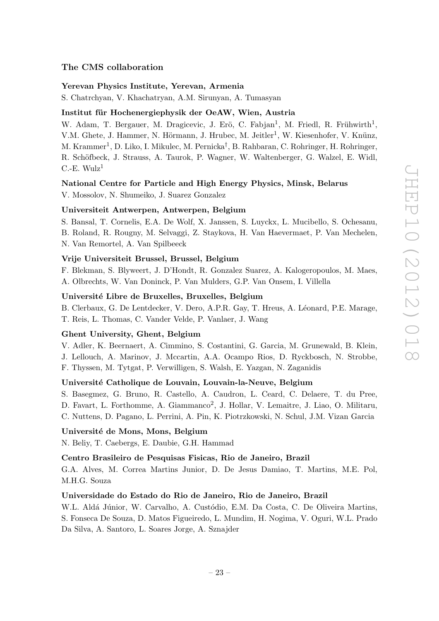### The CMS collaboration

#### <span id="page-23-0"></span>Yerevan Physics Institute, Yerevan, Armenia

S. Chatrchyan, V. Khachatryan, A.M. Sirunyan, A. Tumasyan

#### Institut für Hochenergiephysik der OeAW, Wien, Austria

W. Adam, T. Bergauer, M. Dragicevic, J. Erö, C. Fabjan<sup>1</sup>, M. Friedl, R. Frühwirth<sup>1</sup>, V.M. Ghete, J. Hammer, N. Hörmann, J. Hrubec, M. Jeitler<sup>1</sup>, W. Kiesenhofer, V. Knünz, M. Krammer<sup>1</sup>, D. Liko, I. Mikulec, M. Pernicka<sup>†</sup>, B. Rahbaran, C. Rohringer, H. Rohringer, R. Schöfbeck, J. Strauss, A. Taurok, P. Wagner, W. Waltenberger, G. Walzel, E. Widl,  $C.-E.$  Wulz<sup>1</sup>

#### National Centre for Particle and High Energy Physics, Minsk, Belarus

V. Mossolov, N. Shumeiko, J. Suarez Gonzalez

#### Universiteit Antwerpen, Antwerpen, Belgium

S. Bansal, T. Cornelis, E.A. De Wolf, X. Janssen, S. Luyckx, L. Mucibello, S. Ochesanu, B. Roland, R. Rougny, M. Selvaggi, Z. Staykova, H. Van Haevermaet, P. Van Mechelen, N. Van Remortel, A. Van Spilbeeck

# Vrije Universiteit Brussel, Brussel, Belgium

F. Blekman, S. Blyweert, J. D'Hondt, R. Gonzalez Suarez, A. Kalogeropoulos, M. Maes, A. Olbrechts, W. Van Doninck, P. Van Mulders, G.P. Van Onsem, I. Villella

### Université Libre de Bruxelles, Bruxelles, Belgium

B. Clerbaux, G. De Lentdecker, V. Dero, A.P.R. Gay, T. Hreus, A. Léonard, P.E. Marage, T. Reis, L. Thomas, C. Vander Velde, P. Vanlaer, J. Wang

### Ghent University, Ghent, Belgium

V. Adler, K. Beernaert, A. Cimmino, S. Costantini, G. Garcia, M. Grunewald, B. Klein, J. Lellouch, A. Marinov, J. Mccartin, A.A. Ocampo Rios, D. Ryckbosch, N. Strobbe, F. Thyssen, M. Tytgat, P. Verwilligen, S. Walsh, E. Yazgan, N. Zaganidis

## Université Catholique de Louvain, Louvain-la-Neuve, Belgium

S. Basegmez, G. Bruno, R. Castello, A. Caudron, L. Ceard, C. Delaere, T. du Pree, D. Favart, L. Forthomme, A. Giammanco<sup>2</sup>, J. Hollar, V. Lemaitre, J. Liao, O. Militaru,

C. Nuttens, D. Pagano, L. Perrini, A. Pin, K. Piotrzkowski, N. Schul, J.M. Vizan Garcia

#### Université de Mons, Mons, Belgium

N. Beliy, T. Caebergs, E. Daubie, G.H. Hammad

#### Centro Brasileiro de Pesquisas Fisicas, Rio de Janeiro, Brazil

G.A. Alves, M. Correa Martins Junior, D. De Jesus Damiao, T. Martins, M.E. Pol, M.H.G. Souza

### Universidade do Estado do Rio de Janeiro, Rio de Janeiro, Brazil

W.L. Aldá Júnior, W. Carvalho, A. Custódio, E.M. Da Costa, C. De Oliveira Martins, S. Fonseca De Souza, D. Matos Figueiredo, L. Mundim, H. Nogima, V. Oguri, W.L. Prado Da Silva, A. Santoro, L. Soares Jorge, A. Sznajder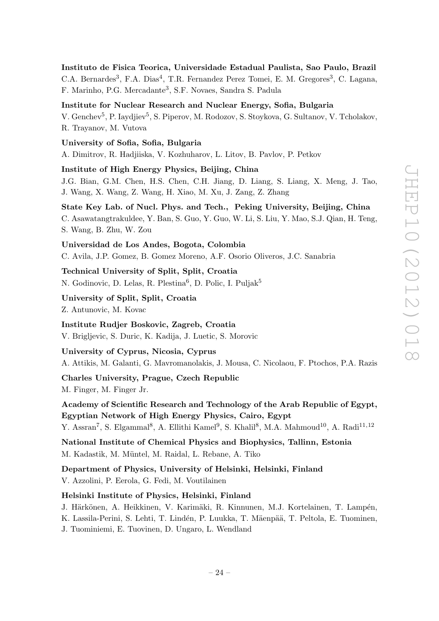# Instituto de Fisica Teorica, Universidade Estadual Paulista, Sao Paulo, Brazil

C.A. Bernardes<sup>3</sup>, F.A. Dias<sup>4</sup>, T.R. Fernandez Perez Tomei, E. M. Gregores<sup>3</sup>, C. Lagana, F. Marinho, P.G. Mercadante<sup>3</sup>, S.F. Novaes, Sandra S. Padula

#### Institute for Nuclear Research and Nuclear Energy, Sofia, Bulgaria

V. Genchev<sup>5</sup>, P. Iaydjiev<sup>5</sup>, S. Piperov, M. Rodozov, S. Stoykova, G. Sultanov, V. Tcholakov, R. Trayanov, M. Vutova

## University of Sofia, Sofia, Bulgaria

A. Dimitrov, R. Hadjiiska, V. Kozhuharov, L. Litov, B. Pavlov, P. Petkov

# Institute of High Energy Physics, Beijing, China

J.G. Bian, G.M. Chen, H.S. Chen, C.H. Jiang, D. Liang, S. Liang, X. Meng, J. Tao, J. Wang, X. Wang, Z. Wang, H. Xiao, M. Xu, J. Zang, Z. Zhang

#### State Key Lab. of Nucl. Phys. and Tech., Peking University, Beijing, China

C. Asawatangtrakuldee, Y. Ban, S. Guo, Y. Guo, W. Li, S. Liu, Y. Mao, S.J. Qian, H. Teng, S. Wang, B. Zhu, W. Zou

#### Universidad de Los Andes, Bogota, Colombia

C. Avila, J.P. Gomez, B. Gomez Moreno, A.F. Osorio Oliveros, J.C. Sanabria

Technical University of Split, Split, Croatia

N. Godinovic, D. Lelas, R. Plestina<sup>6</sup>, D. Polic, I. Puljak<sup>5</sup>

University of Split, Split, Croatia

Z. Antunovic, M. Kovac

Institute Rudjer Boskovic, Zagreb, Croatia V. Brigljevic, S. Duric, K. Kadija, J. Luetic, S. Morovic

University of Cyprus, Nicosia, Cyprus

A. Attikis, M. Galanti, G. Mavromanolakis, J. Mousa, C. Nicolaou, F. Ptochos, P.A. Razis

Charles University, Prague, Czech Republic

M. Finger, M. Finger Jr.

# Academy of Scientific Research and Technology of the Arab Republic of Egypt, Egyptian Network of High Energy Physics, Cairo, Egypt

Y. Assran<sup>7</sup>, S. Elgammal<sup>8</sup>, A. Ellithi Kamel<sup>9</sup>, S. Khalil<sup>8</sup>, M.A. Mahmoud<sup>10</sup>, A. Radi<sup>11,12</sup>

National Institute of Chemical Physics and Biophysics, Tallinn, Estonia M. Kadastik, M. Müntel, M. Raidal, L. Rebane, A. Tiko

Department of Physics, University of Helsinki, Helsinki, Finland V. Azzolini, P. Eerola, G. Fedi, M. Voutilainen

### Helsinki Institute of Physics, Helsinki, Finland

J. Härkönen, A. Heikkinen, V. Karimäki, R. Kinnunen, M.J. Kortelainen, T. Lampén, K. Lassila-Perini, S. Lehti, T. Lindén, P. Luukka, T. Mäenpää, T. Peltola, E. Tuominen, J. Tuominiemi, E. Tuovinen, D. Ungaro, L. Wendland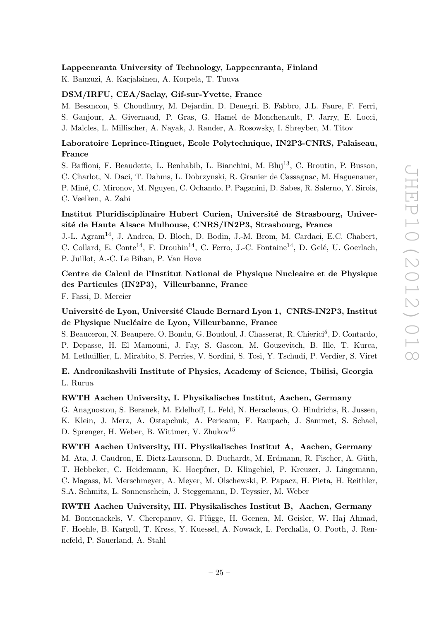#### Lappeenranta University of Technology, Lappeenranta, Finland

K. Banzuzi, A. Karjalainen, A. Korpela, T. Tuuva

### DSM/IRFU, CEA/Saclay, Gif-sur-Yvette, France

M. Besancon, S. Choudhury, M. Dejardin, D. Denegri, B. Fabbro, J.L. Faure, F. Ferri, S. Ganjour, A. Givernaud, P. Gras, G. Hamel de Monchenault, P. Jarry, E. Locci, J. Malcles, L. Millischer, A. Nayak, J. Rander, A. Rosowsky, I. Shreyber, M. Titov

# Laboratoire Leprince-Ringuet, Ecole Polytechnique, IN2P3-CNRS, Palaiseau, France

S. Baffioni, F. Beaudette, L. Benhabib, L. Bianchini, M. Bluj13, C. Broutin, P. Busson, C. Charlot, N. Daci, T. Dahms, L. Dobrzynski, R. Granier de Cassagnac, M. Haguenauer, P. Min´e, C. Mironov, M. Nguyen, C. Ochando, P. Paganini, D. Sabes, R. Salerno, Y. Sirois, C. Veelken, A. Zabi

# Institut Pluridisciplinaire Hubert Curien, Université de Strasbourg, Université de Haute Alsace Mulhouse, CNRS/IN2P3, Strasbourg, France

J.-L. Agram14, J. Andrea, D. Bloch, D. Bodin, J.-M. Brom, M. Cardaci, E.C. Chabert, C. Collard, E. Conte<sup>14</sup>, F. Drouhin<sup>14</sup>, C. Ferro, J.-C. Fontaine<sup>14</sup>, D. Gelé, U. Goerlach, P. Juillot, A.-C. Le Bihan, P. Van Hove

# Centre de Calcul de l'Institut National de Physique Nucleaire et de Physique des Particules (IN2P3), Villeurbanne, France

F. Fassi, D. Mercier

# Université de Lyon, Université Claude Bernard Lyon 1, CNRS-IN2P3, Institut de Physique Nucléaire de Lyon, Villeurbanne, France

S. Beauceron, N. Beaupere, O. Bondu, G. Boudoul, J. Chasserat, R. Chierici<sup>5</sup>, D. Contardo, P. Depasse, H. El Mamouni, J. Fay, S. Gascon, M. Gouzevitch, B. Ille, T. Kurca, M. Lethuillier, L. Mirabito, S. Perries, V. Sordini, S. Tosi, Y. Tschudi, P. Verdier, S. Viret

E. Andronikashvili Institute of Physics, Academy of Science, Tbilisi, Georgia L. Rurua

# RWTH Aachen University, I. Physikalisches Institut, Aachen, Germany

G. Anagnostou, S. Beranek, M. Edelhoff, L. Feld, N. Heracleous, O. Hindrichs, R. Jussen, K. Klein, J. Merz, A. Ostapchuk, A. Perieanu, F. Raupach, J. Sammet, S. Schael, D. Sprenger, H. Weber, B. Wittmer, V. Zhukov<sup>15</sup>

### RWTH Aachen University, III. Physikalisches Institut A, Aachen, Germany

M. Ata, J. Caudron, E. Dietz-Laursonn, D. Duchardt, M. Erdmann, R. Fischer, A. Güth, T. Hebbeker, C. Heidemann, K. Hoepfner, D. Klingebiel, P. Kreuzer, J. Lingemann, C. Magass, M. Merschmeyer, A. Meyer, M. Olschewski, P. Papacz, H. Pieta, H. Reithler, S.A. Schmitz, L. Sonnenschein, J. Steggemann, D. Teyssier, M. Weber

### RWTH Aachen University, III. Physikalisches Institut B, Aachen, Germany

M. Bontenackels, V. Cherepanov, G. Flügge, H. Geenen, M. Geisler, W. Haj Ahmad, F. Hoehle, B. Kargoll, T. Kress, Y. Kuessel, A. Nowack, L. Perchalla, O. Pooth, J. Rennefeld, P. Sauerland, A. Stahl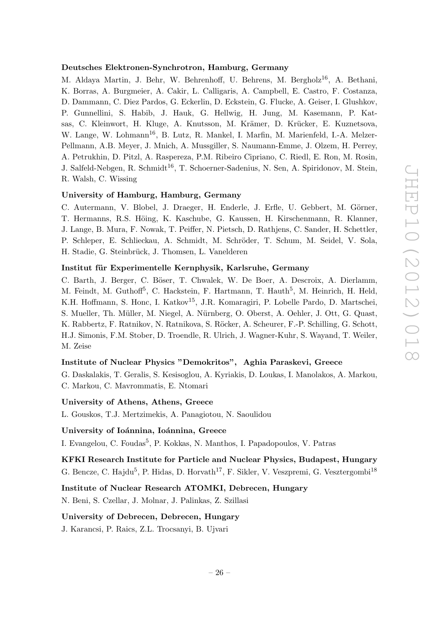#### Deutsches Elektronen-Synchrotron, Hamburg, Germany

M. Aldaya Martin, J. Behr, W. Behrenhoff, U. Behrens, M. Bergholz16, A. Bethani, K. Borras, A. Burgmeier, A. Cakir, L. Calligaris, A. Campbell, E. Castro, F. Costanza, D. Dammann, C. Diez Pardos, G. Eckerlin, D. Eckstein, G. Flucke, A. Geiser, I. Glushkov, P. Gunnellini, S. Habib, J. Hauk, G. Hellwig, H. Jung, M. Kasemann, P. Katsas, C. Kleinwort, H. Kluge, A. Knutsson, M. Krämer, D. Krücker, E. Kuznetsova, W. Lange, W. Lohmann<sup>16</sup>, B. Lutz, R. Mankel, I. Marfin, M. Marienfeld, I.-A. Melzer-Pellmann, A.B. Meyer, J. Mnich, A. Mussgiller, S. Naumann-Emme, J. Olzem, H. Perrey, A. Petrukhin, D. Pitzl, A. Raspereza, P.M. Ribeiro Cipriano, C. Riedl, E. Ron, M. Rosin, J. Salfeld-Nebgen, R. Schmidt<sup>16</sup>, T. Schoerner-Sadenius, N. Sen, A. Spiridonov, M. Stein, R. Walsh, C. Wissing

#### University of Hamburg, Hamburg, Germany

C. Autermann, V. Blobel, J. Draeger, H. Enderle, J. Erfle, U. Gebbert, M. Görner, T. Hermanns, R.S. Höing, K. Kaschube, G. Kaussen, H. Kirschenmann, R. Klanner, J. Lange, B. Mura, F. Nowak, T. Peiffer, N. Pietsch, D. Rathjens, C. Sander, H. Schettler, P. Schleper, E. Schlieckau, A. Schmidt, M. Schröder, T. Schum, M. Seidel, V. Sola, H. Stadie, G. Steinbrück, J. Thomsen, L. Vanelderen

#### Institut für Experimentelle Kernphysik, Karlsruhe, Germany

C. Barth, J. Berger, C. Böser, T. Chwalek, W. De Boer, A. Descroix, A. Dierlamm, M. Feindt, M. Guthoff<sup>5</sup>, C. Hackstein, F. Hartmann, T. Hauth<sup>5</sup>, M. Heinrich, H. Held, K.H. Hoffmann, S. Honc, I. Katkov<sup>15</sup>, J.R. Komaragiri, P. Lobelle Pardo, D. Martschei, S. Mueller, Th. Müller, M. Niegel, A. Nürnberg, O. Oberst, A. Oehler, J. Ott, G. Quast, K. Rabbertz, F. Ratnikov, N. Ratnikova, S. Röcker, A. Scheurer, F.-P. Schilling, G. Schott, H.J. Simonis, F.M. Stober, D. Troendle, R. Ulrich, J. Wagner-Kuhr, S. Wayand, T. Weiler, M. Zeise

# Institute of Nuclear Physics "Demokritos", Aghia Paraskevi, Greece

G. Daskalakis, T. Geralis, S. Kesisoglou, A. Kyriakis, D. Loukas, I. Manolakos, A. Markou, C. Markou, C. Mavrommatis, E. Ntomari

# University of Athens, Athens, Greece

L. Gouskos, T.J. Mertzimekis, A. Panagiotou, N. Saoulidou

#### University of Ioánnina, Ioánnina, Greece

I. Evangelou, C. Foudas<sup>5</sup>, P. Kokkas, N. Manthos, I. Papadopoulos, V. Patras

# KFKI Research Institute for Particle and Nuclear Physics, Budapest, Hungary G. Bencze, C. Hajdu<sup>5</sup>, P. Hidas, D. Horvath<sup>17</sup>, F. Sikler, V. Veszpremi, G. Vesztergombi<sup>18</sup>

#### Institute of Nuclear Research ATOMKI, Debrecen, Hungary

N. Beni, S. Czellar, J. Molnar, J. Palinkas, Z. Szillasi

#### University of Debrecen, Debrecen, Hungary

J. Karancsi, P. Raics, Z.L. Trocsanyi, B. Ujvari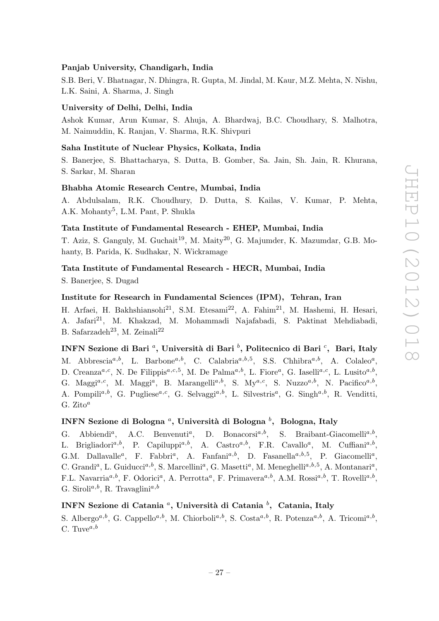#### Panjab University, Chandigarh, India

S.B. Beri, V. Bhatnagar, N. Dhingra, R. Gupta, M. Jindal, M. Kaur, M.Z. Mehta, N. Nishu, L.K. Saini, A. Sharma, J. Singh

#### University of Delhi, Delhi, India

Ashok Kumar, Arun Kumar, S. Ahuja, A. Bhardwaj, B.C. Choudhary, S. Malhotra, M. Naimuddin, K. Ranjan, V. Sharma, R.K. Shivpuri

#### Saha Institute of Nuclear Physics, Kolkata, India

S. Banerjee, S. Bhattacharya, S. Dutta, B. Gomber, Sa. Jain, Sh. Jain, R. Khurana, S. Sarkar, M. Sharan

#### Bhabha Atomic Research Centre, Mumbai, India

A. Abdulsalam, R.K. Choudhury, D. Dutta, S. Kailas, V. Kumar, P. Mehta, A.K. Mohanty<sup>5</sup>, L.M. Pant, P. Shukla

### Tata Institute of Fundamental Research - EHEP, Mumbai, India

T. Aziz, S. Ganguly, M. Guchait<sup>19</sup>, M. Maity<sup>20</sup>, G. Majumder, K. Mazumdar, G.B. Mohanty, B. Parida, K. Sudhakar, N. Wickramage

Tata Institute of Fundamental Research - HECR, Mumbai, India

S. Banerjee, S. Dugad

### Institute for Research in Fundamental Sciences (IPM), Tehran, Iran

H. Arfaei, H. Bakhshiansohi<sup>21</sup>, S.M. Etesami<sup>22</sup>, A. Fahim<sup>21</sup>, M. Hashemi, H. Hesari, A. Jafari21, M. Khakzad, M. Mohammadi Najafabadi, S. Paktinat Mehdiabadi, B. Safarzadeh<sup>23</sup>, M. Zeinali<sup>22</sup>

# INFN Sezione di Bari <sup>a</sup>, Università di Bari  $^b$ , Politecnico di Bari  $^c$ , Bari, Italy

M. Abbrescia<sup>a,b</sup>, L. Barbone<sup>a,b</sup>, C. Calabria<sup>a,b,5</sup>, S.S. Chhibra<sup>a,b</sup>, A. Colaleo<sup>a</sup>, D. Creanza<sup>a,c</sup>, N. De Filippis<sup>a,c,5</sup>, M. De Palma<sup>a,b</sup>, L. Fiore<sup>a</sup>, G. Iaselli<sup>a,c</sup>, L. Lusito<sup>a,b</sup>, G. Maggi<sup>a,c</sup>, M. Maggi<sup>a</sup>, B. Marangelli<sup>a,b</sup>, S. My<sup>a,c</sup>, S. Nuzzo<sup>a,b</sup>, N. Pacifico<sup>a,b</sup>, A. Pompili<sup>a,b</sup>, G. Pugliese<sup>a,c</sup>, G. Selvaggi<sup>a,b</sup>, L. Silvestris<sup>a</sup>, G. Singh<sup>a,b</sup>, R. Venditti, G.  $\mathrm{Zito}^a$ 

# INFN Sezione di Bologna <sup>a</sup>, Università di Bologna  $^b$ , Bologna, Italy

G. Abbiendi<sup>a</sup>, A.C. Benvenuti<sup>a</sup> , D. Bonacorsi<sup>a,b</sup>, S. Braibant-Giacomelli<sup>a,b</sup>, L. Brigliadori<sup>a,b</sup>, P. Capiluppi<sup>a,b</sup>, A. Castro<sup>a,b</sup>, F.R. Cavallo<sup>a</sup>, M. Cuffiani<sup>a,b</sup>, G.M. Dallavalle<sup>a</sup>, F. Fabbri<sup>a</sup>, A. Fanfani<sup>a,b</sup>, D. Fasanella<sup>a,b,5</sup>, P. Giacomelli<sup>a</sup>, C. Grandi<sup>a</sup>, L. Guiducci<sup>a, b</sup>, S. Marcellini<sup>a</sup>, G. Masetti<sup>a</sup>, M. Meneghelli<sup>a, b, 5</sup>, A. Montanari<sup>a</sup>, F.L. Navarria<sup>a,b</sup>, F. Odorici<sup>a</sup>, A. Perrotta<sup>a</sup>, F. Primavera<sup>a,b</sup>, A.M. Rossi<sup>a,b</sup>, T. Rovelli<sup>a,b</sup>, G. Siroli<sup>a,b</sup>, R. Travaglini<sup>a,b</sup>

# INFN Sezione di Catania <sup>a</sup>, Università di Catania  $^b$ , Catania, Italy

S. Albergo<sup>a,b</sup>, G. Cappello<sup>a,b</sup>, M. Chiorboli<sup>a,b</sup>, S. Costa<sup>a,b</sup>, R. Potenza<sup>a,b</sup>, A. Tricomi<sup>a,b</sup>, C. Tuve<sup> $a,b$ </sup>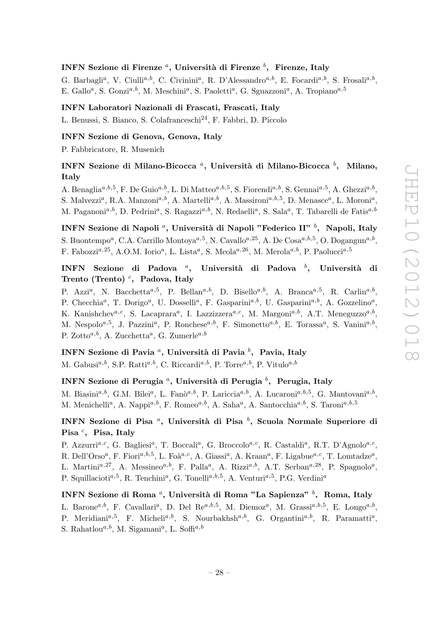# INFN Sezione di Firenze  $^a,$  Università di Firenze  $^b, \,$  Firenze, Italy

G. Barbagli<sup>a</sup>, V. Ciulli<sup>a,b</sup>, C. Civinini<sup>a</sup>, R. D'Alessandro<sup>a,b</sup>, E. Focardi<sup>a,b</sup>, S. Frosali<sup>a,b</sup>, E. Gallo<sup>a</sup>, S. Gonzi<sup>a,b</sup>, M. Meschini<sup>a</sup>, S. Paoletti<sup>a</sup>, G. Sguazzoni<sup>a</sup>, A. Tropiano<sup>a,5</sup>

#### INFN Laboratori Nazionali di Frascati, Frascati, Italy

L. Benussi, S. Bianco, S. Colafranceschi24, F. Fabbri, D. Piccolo

### INFN Sezione di Genova, Genova, Italy

P. Fabbricatore, R. Musenich

# INFN Sezione di Milano-Bicocca <sup>a</sup>, Università di Milano-Bicocca <sup>b</sup>, Milano, Italy

A. Benaglia<sup>a,b,5</sup>, F. De Guio<sup>a,b</sup>, L. Di Matteo<sup>a,b,5</sup>, S. Fiorendi<sup>a,b</sup>, S. Gennai<sup>a,5</sup>, A. Ghezzi<sup>a,b</sup>, S. Malvezzi<sup>a</sup>, R.A. Manzoni<sup>a,b</sup>, A. Martelli<sup>a,b</sup>, A. Massironi<sup>a,b,5</sup>, D. Menasce<sup>a</sup>, L. Moroni<sup>a</sup>, M. Paganoni<sup>a,b</sup>, D. Pedrini<sup>a</sup>, S. Ragazzi<sup>a,b</sup>, N. Redaelli<sup>a</sup>, S. Sala<sup>a</sup>, T. Tabarelli de Fatis<sup>a,b</sup>

# INFN Sezione di Napoli <sup>a</sup>, Università di Napoli "Federico II"  $^b$ , Napoli, Italy S. Buontempo<sup>a</sup>, C.A. Carrillo Montoya<sup>a, 5</sup>, N. Cavallo<sup>a, 25</sup>, A. De Cosa<sup>a, b, 5</sup>, O. Dogangun<sup>a, b</sup>, F. Fabozzi<sup>a, 25</sup>, A.O.M. Iorio<sup>a</sup>, L. Lista<sup>a</sup>, S. Meola<sup>a, 26</sup>, M. Merola<sup>a, b</sup>, P. Paolucci<sup>a, 5</sup>

# INFN Sezione di Padova <sup>a</sup>, Università di Padova <sup>b</sup>, Università di  **(Trento)<sup>c</sup>, Padova, Italy**

P. Azzi<sup>a</sup>, N. Bacchetta<sup>a, 5</sup>, P. Bellan<sup>a, b</sup>, D. Bisello<sup>a, b</sup>, A. Branca<sup>a, 5</sup>, R. Carlin<sup>a, b</sup>, P. Checchia<sup>a</sup>, T. Dorigo<sup>a</sup>, U. Dosselli<sup>a</sup>, F. Gasparini<sup>a,b</sup>, U. Gasparini<sup>a,b</sup>, A. Gozzelino<sup>a</sup>, K. Kanishchev<sup>a, c</sup>, S. Lacaprara<sup>a</sup>, I. Lazzizzera<sup>a, c</sup>, M. Margoni<sup>a, b</sup>, A.T. Meneguzzo<sup>a, b</sup>, M. Nespolo<sup>a,5</sup>, J. Pazzini<sup>a</sup>, P. Ronchese<sup>a,b</sup>, F. Simonetto<sup>a,b</sup>, E. Torassa<sup>a</sup>, S. Vanini<sup>a,b</sup>, P. Zotto<sup>a,b</sup>, A. Zucchetta<sup>a</sup>, G. Zumerle<sup>a,b</sup>

# INFN Sezione di Pavia  $^a,$  Università di Pavia  $^b, \, \,$  Pavia, Italy

M. Gabusi<sup>a,b</sup>, S.P. Ratti<sup>a,b</sup>, C. Riccardi<sup>a,b</sup>, P. Torre<sup>a,b</sup>, P. Vitulo<sup>a,b</sup>

# INFN Sezione di Perugia  $^a,$  Università di Perugia  $^b, \,$  Perugia, Italy

M. Biasini<sup>a,b</sup>, G.M. Bilei<sup>a</sup>, L. Fanò<sup>a,b</sup>, P. Lariccia<sup>a,b</sup>, A. Lucaroni<sup>a,b,5</sup>, G. Mantovani<sup>a,b</sup>, M. Menichelli<sup>a</sup>, A. Nappi<sup>a,b</sup>, F. Romeo<sup>a,b</sup>, A. Saha<sup>a</sup>, A. Santocchia<sup>a,b</sup>, S. Taroni<sup>a,b,5</sup>

# INFN Sezione di Pisa <sup>a</sup>, Università di Pisa <sup>b</sup>, Scuola Normale Superiore di Pisa<sup>c</sup>, Pisa, Italy

P. Azzurri<sup>a,c</sup>, G. Bagliesi<sup>a</sup>, T. Boccali<sup>a</sup>, G. Broccolo<sup>a,c</sup>, R. Castaldi<sup>a</sup>, R.T. D'Agnolo<sup>a,c</sup>, R. Dell'Orso<sup>a</sup>, F. Fiori<sup>a,b,5</sup>, L. Foà<sup>a,c</sup>, A. Giassi<sup>a</sup>, A. Kraan<sup>a</sup>, F. Ligabue<sup>a,c</sup>, T. Lomtadze<sup>a</sup>, L. Martini<sup>a, 27</sup>, A. Messineo<sup>a,b</sup>, F. Palla<sup>a</sup>, A. Rizzi<sup>a,b</sup>, A.T. Serban<sup>a, 28</sup>, P. Spagnolo<sup>a</sup>, P. Squillacioti<sup>*a*,5</sup>, R. Tenchini<sup>*a*</sup>, G. Tonelli<sup>*a*,b,5</sup>, A. Venturi<sup>*a*,5</sup>, P.G. Verdini<sup>*a*</sup>

# INFN Sezione di Roma <sup>a</sup>, Università di Roma "La Sapienza"  $^b$ , Roma, Italy

L. Barone<sup>a,b</sup>, F. Cavallari<sup>a</sup>, D. Del Re<sup>a,b,5</sup>, M. Diemoz<sup>a</sup>, M. Grassi<sup>a,b,5</sup>, E. Longo<sup>a,b</sup>, P. Meridiani<sup>a,5</sup>, F. Micheli<sup>a,b</sup>, S. Nourbakhsh<sup>a,b</sup>, G. Organtini<sup>a,b</sup>, R. Paramatti<sup>a</sup>, S. Rahatlou $^{a,b}$ , M. Sigamani<sup>a</sup>, L. Soffi $^{a,b}$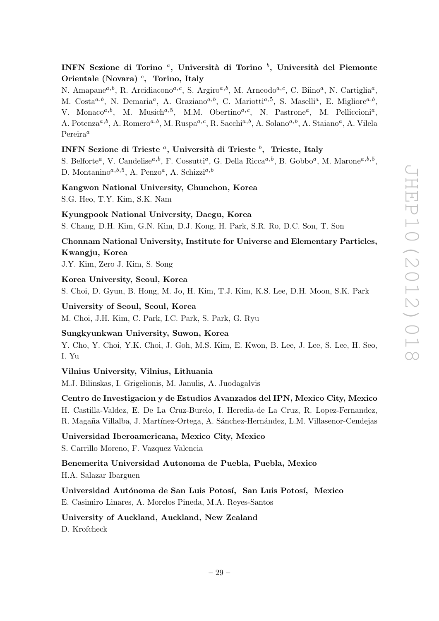# INFN Sezione di Torino <sup>a</sup>, Università di Torino <sup>b</sup>, Università del Piemonte Orientale (Novara)<sup>c</sup>, Torino, Italy

N. Amapane<sup>a,b</sup>, R. Arcidiacono<sup>a,c</sup>, S. Argiro<sup>a,b</sup>, M. Arneodo<sup>a,c</sup>, C. Biino<sup>a</sup>, N. Cartiglia<sup>a</sup>, M. Costa<sup>a,b</sup>, N. Demaria<sup>a</sup>, A. Graziano<sup>a,b</sup>, C. Mariotti<sup>a,5</sup>, S. Maselli<sup>a</sup>, E. Migliore<sup>a,b</sup>, V. Monaco<sup>a,b</sup>, M. Musich<sup>a,5</sup>, M.M. Obertino<sup>a,c</sup>, N. Pastrone<sup>a</sup>, M. Pelliccioni<sup>a</sup>, A. Potenza<sup>a,b</sup>, A. Romero<sup>a,b</sup>, M. Ruspa<sup>a,c</sup>, R. Sacchi<sup>a,b</sup>, A. Solano<sup>a,b</sup>, A. Staiano<sup>a</sup>, A. Vilela  $Pereira^a$ 

# INFN Sezione di Trieste <sup>a</sup>, Università di Trieste  $^b$ , Trieste, Italy

S. Belforte<sup>a</sup>, V. Candelise<sup>a,b</sup>, F. Cossutti<sup>a</sup>, G. Della Ricca<sup>a,b</sup>, B. Gobbo<sup>a</sup>, M. Marone<sup>a,b,5</sup>, D. Montanino<sup>a, b, 5</sup>, A. Penzo<sup>a</sup>, A. Schizzi<sup>a, b</sup>

Kangwon National University, Chunchon, Korea

S.G. Heo, T.Y. Kim, S.K. Nam

Kyungpook National University, Daegu, Korea

S. Chang, D.H. Kim, G.N. Kim, D.J. Kong, H. Park, S.R. Ro, D.C. Son, T. Son

# Chonnam National University, Institute for Universe and Elementary Particles, Kwangju, Korea

J.Y. Kim, Zero J. Kim, S. Song

Korea University, Seoul, Korea S. Choi, D. Gyun, B. Hong, M. Jo, H. Kim, T.J. Kim, K.S. Lee, D.H. Moon, S.K. Park

University of Seoul, Seoul, Korea M. Choi, J.H. Kim, C. Park, I.C. Park, S. Park, G. Ryu

### Sungkyunkwan University, Suwon, Korea

Y. Cho, Y. Choi, Y.K. Choi, J. Goh, M.S. Kim, E. Kwon, B. Lee, J. Lee, S. Lee, H. Seo, I. Yu

### Vilnius University, Vilnius, Lithuania

M.J. Bilinskas, I. Grigelionis, M. Janulis, A. Juodagalvis

### Centro de Investigacion y de Estudios Avanzados del IPN, Mexico City, Mexico

H. Castilla-Valdez, E. De La Cruz-Burelo, I. Heredia-de La Cruz, R. Lopez-Fernandez, R. Magaña Villalba, J. Martínez-Ortega, A. Sánchez-Hernández, L.M. Villasenor-Cendejas

Universidad Iberoamericana, Mexico City, Mexico S. Carrillo Moreno, F. Vazquez Valencia

# Benemerita Universidad Autonoma de Puebla, Puebla, Mexico H.A. Salazar Ibarguen

# Universidad Autónoma de San Luis Potosí, San Luis Potosí, Mexico E. Casimiro Linares, A. Morelos Pineda, M.A. Reyes-Santos

### University of Auckland, Auckland, New Zealand

D. Krofcheck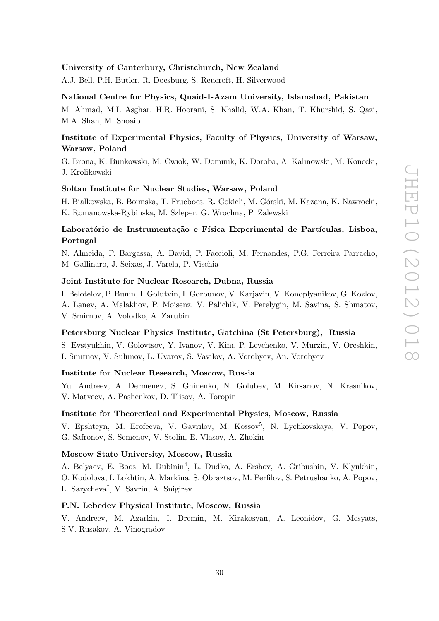#### University of Canterbury, Christchurch, New Zealand

A.J. Bell, P.H. Butler, R. Doesburg, S. Reucroft, H. Silverwood

#### National Centre for Physics, Quaid-I-Azam University, Islamabad, Pakistan

M. Ahmad, M.I. Asghar, H.R. Hoorani, S. Khalid, W.A. Khan, T. Khurshid, S. Qazi, M.A. Shah, M. Shoaib

# Institute of Experimental Physics, Faculty of Physics, University of Warsaw, Warsaw, Poland

G. Brona, K. Bunkowski, M. Cwiok, W. Dominik, K. Doroba, A. Kalinowski, M. Konecki, J. Krolikowski

### Soltan Institute for Nuclear Studies, Warsaw, Poland

H. Bialkowska, B. Boimska, T. Frueboes, R. Gokieli, M. G´orski, M. Kazana, K. Nawrocki, K. Romanowska-Rybinska, M. Szleper, G. Wrochna, P. Zalewski

# Laboratório de Instrumentação e Física Experimental de Partículas, Lisboa, Portugal

N. Almeida, P. Bargassa, A. David, P. Faccioli, M. Fernandes, P.G. Ferreira Parracho, M. Gallinaro, J. Seixas, J. Varela, P. Vischia

#### Joint Institute for Nuclear Research, Dubna, Russia

I. Belotelov, P. Bunin, I. Golutvin, I. Gorbunov, V. Karjavin, V. Konoplyanikov, G. Kozlov, A. Lanev, A. Malakhov, P. Moisenz, V. Palichik, V. Perelygin, M. Savina, S. Shmatov, V. Smirnov, A. Volodko, A. Zarubin

#### Petersburg Nuclear Physics Institute, Gatchina (St Petersburg), Russia

S. Evstyukhin, V. Golovtsov, Y. Ivanov, V. Kim, P. Levchenko, V. Murzin, V. Oreshkin, I. Smirnov, V. Sulimov, L. Uvarov, S. Vavilov, A. Vorobyev, An. Vorobyev

#### Institute for Nuclear Research, Moscow, Russia

Yu. Andreev, A. Dermenev, S. Gninenko, N. Golubev, M. Kirsanov, N. Krasnikov, V. Matveev, A. Pashenkov, D. Tlisov, A. Toropin

#### Institute for Theoretical and Experimental Physics, Moscow, Russia

V. Epshteyn, M. Erofeeva, V. Gavrilov, M. Kossov<sup>5</sup>, N. Lychkovskaya, V. Popov, G. Safronov, S. Semenov, V. Stolin, E. Vlasov, A. Zhokin

#### Moscow State University, Moscow, Russia

A. Belyaev, E. Boos, M. Dubinin<sup>4</sup>, L. Dudko, A. Ershov, A. Gribushin, V. Klyukhin, O. Kodolova, I. Lokhtin, A. Markina, S. Obraztsov, M. Perfilov, S. Petrushanko, A. Popov, L. Sarycheva† , V. Savrin, A. Snigirev

# P.N. Lebedev Physical Institute, Moscow, Russia

V. Andreev, M. Azarkin, I. Dremin, M. Kirakosyan, A. Leonidov, G. Mesyats, S.V. Rusakov, A. Vinogradov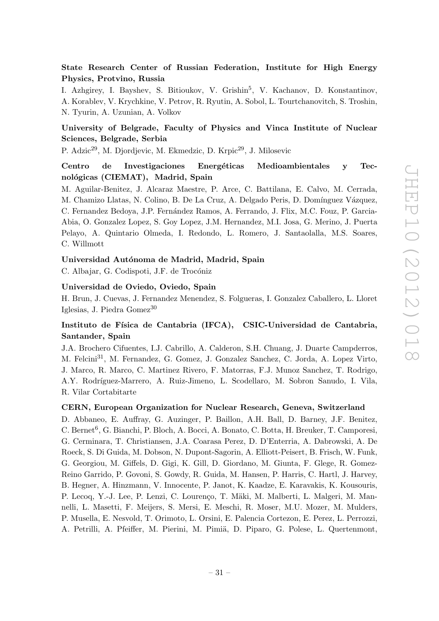# State Research Center of Russian Federation, Institute for High Energy Physics, Protvino, Russia

I. Azhgirey, I. Bayshev, S. Bitioukov, V. Grishin<sup>5</sup>, V. Kachanov, D. Konstantinov, A. Korablev, V. Krychkine, V. Petrov, R. Ryutin, A. Sobol, L. Tourtchanovitch, S. Troshin, N. Tyurin, A. Uzunian, A. Volkov

# University of Belgrade, Faculty of Physics and Vinca Institute of Nuclear Sciences, Belgrade, Serbia

P. Adzic<sup>29</sup>, M. Djordjevic, M. Ekmedzic, D. Krpic<sup>29</sup>, J. Milosevic

# Centro de Investigaciones Energéticas Medioambientales y Tecnológicas (CIEMAT), Madrid, Spain

M. Aguilar-Benitez, J. Alcaraz Maestre, P. Arce, C. Battilana, E. Calvo, M. Cerrada, M. Chamizo Llatas, N. Colino, B. De La Cruz, A. Delgado Peris, D. Domínguez Vázquez, C. Fernandez Bedoya, J.P. Fernández Ramos, A. Ferrando, J. Flix, M.C. Fouz, P. Garcia-Abia, O. Gonzalez Lopez, S. Goy Lopez, J.M. Hernandez, M.I. Josa, G. Merino, J. Puerta Pelayo, A. Quintario Olmeda, I. Redondo, L. Romero, J. Santaolalla, M.S. Soares, C. Willmott

# Universidad Autónoma de Madrid, Madrid, Spain

C. Albajar, G. Codispoti, J.F. de Trocóniz

# Universidad de Oviedo, Oviedo, Spain

H. Brun, J. Cuevas, J. Fernandez Menendez, S. Folgueras, I. Gonzalez Caballero, L. Lloret Iglesias, J. Piedra Gomez<sup>30</sup>

# Instituto de Física de Cantabria (IFCA), CSIC-Universidad de Cantabria, Santander, Spain

J.A. Brochero Cifuentes, I.J. Cabrillo, A. Calderon, S.H. Chuang, J. Duarte Campderros, M. Felcini31, M. Fernandez, G. Gomez, J. Gonzalez Sanchez, C. Jorda, A. Lopez Virto, J. Marco, R. Marco, C. Martinez Rivero, F. Matorras, F.J. Munoz Sanchez, T. Rodrigo, A.Y. Rodríguez-Marrero, A. Ruiz-Jimeno, L. Scodellaro, M. Sobron Sanudo, I. Vila, R. Vilar Cortabitarte

### CERN, European Organization for Nuclear Research, Geneva, Switzerland

D. Abbaneo, E. Auffray, G. Auzinger, P. Baillon, A.H. Ball, D. Barney, J.F. Benitez, C. Bernet<sup>6</sup>, G. Bianchi, P. Bloch, A. Bocci, A. Bonato, C. Botta, H. Breuker, T. Camporesi, G. Cerminara, T. Christiansen, J.A. Coarasa Perez, D. D'Enterria, A. Dabrowski, A. De Roeck, S. Di Guida, M. Dobson, N. Dupont-Sagorin, A. Elliott-Peisert, B. Frisch, W. Funk, G. Georgiou, M. Giffels, D. Gigi, K. Gill, D. Giordano, M. Giunta, F. Glege, R. Gomez-Reino Garrido, P. Govoni, S. Gowdy, R. Guida, M. Hansen, P. Harris, C. Hartl, J. Harvey, B. Hegner, A. Hinzmann, V. Innocente, P. Janot, K. Kaadze, E. Karavakis, K. Kousouris, P. Lecoq, Y.-J. Lee, P. Lenzi, C. Lourenço, T. Mäki, M. Malberti, L. Malgeri, M. Mannelli, L. Masetti, F. Meijers, S. Mersi, E. Meschi, R. Moser, M.U. Mozer, M. Mulders, P. Musella, E. Nesvold, T. Orimoto, L. Orsini, E. Palencia Cortezon, E. Perez, L. Perrozzi, A. Petrilli, A. Pfeiffer, M. Pierini, M. Pimiä, D. Piparo, G. Polese, L. Quertenmont,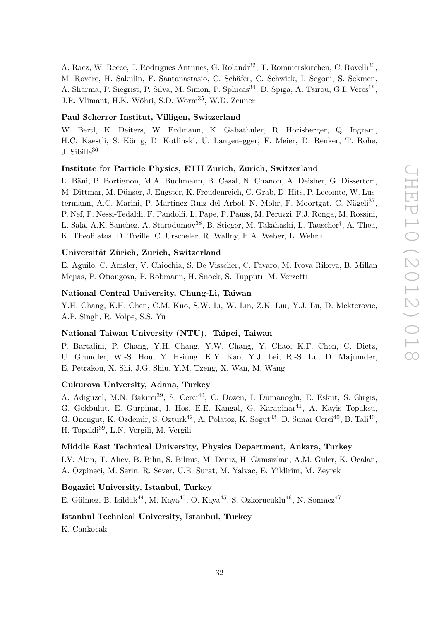A. Racz, W. Reece, J. Rodrigues Antunes, G. Rolandi<sup>32</sup>, T. Rommerskirchen, C. Rovelli<sup>33</sup>, M. Rovere, H. Sakulin, F. Santanastasio, C. Schäfer, C. Schwick, I. Segoni, S. Sekmen, A. Sharma, P. Siegrist, P. Silva, M. Simon, P. Sphicas<sup>34</sup>, D. Spiga, A. Tsirou, G.I. Veres<sup>18</sup>, J.R. Vlimant, H.K. Wöhri, S.D. Worm<sup>35</sup>, W.D. Zeuner

### Paul Scherrer Institut, Villigen, Switzerland

W. Bertl, K. Deiters, W. Erdmann, K. Gabathuler, R. Horisberger, Q. Ingram, H.C. Kaestli, S. König, D. Kotlinski, U. Langenegger, F. Meier, D. Renker, T. Rohe, J. Sibille $36$ 

#### Institute for Particle Physics, ETH Zurich, Zurich, Switzerland

L. Bäni, P. Bortignon, M.A. Buchmann, B. Casal, N. Chanon, A. Deisher, G. Dissertori, M. Dittmar, M. Dünser, J. Eugster, K. Freudenreich, C. Grab, D. Hits, P. Lecomte, W. Lustermann, A.C. Marini, P. Martinez Ruiz del Arbol, N. Mohr, F. Moortgat, C. Nägeli<sup>37</sup>, P. Nef, F. Nessi-Tedaldi, F. Pandolfi, L. Pape, F. Pauss, M. Peruzzi, F.J. Ronga, M. Rossini, L. Sala, A.K. Sanchez, A. Starodumov<sup>38</sup>, B. Stieger, M. Takahashi, L. Tauscher<sup>†</sup>, A. Thea, K. Theofilatos, D. Treille, C. Urscheler, R. Wallny, H.A. Weber, L. Wehrli

#### Universität Zürich, Zurich, Switzerland

E. Aguilo, C. Amsler, V. Chiochia, S. De Visscher, C. Favaro, M. Ivova Rikova, B. Millan Mejias, P. Otiougova, P. Robmann, H. Snoek, S. Tupputi, M. Verzetti

#### National Central University, Chung-Li, Taiwan

Y.H. Chang, K.H. Chen, C.M. Kuo, S.W. Li, W. Lin, Z.K. Liu, Y.J. Lu, D. Mekterovic, A.P. Singh, R. Volpe, S.S. Yu

# National Taiwan University (NTU), Taipei, Taiwan

P. Bartalini, P. Chang, Y.H. Chang, Y.W. Chang, Y. Chao, K.F. Chen, C. Dietz, U. Grundler, W.-S. Hou, Y. Hsiung, K.Y. Kao, Y.J. Lei, R.-S. Lu, D. Majumder, E. Petrakou, X. Shi, J.G. Shiu, Y.M. Tzeng, X. Wan, M. Wang

# Cukurova University, Adana, Turkey

A. Adiguzel, M.N. Bakirci<sup>39</sup>, S. Cerci<sup>40</sup>, C. Dozen, I. Dumanoglu, E. Eskut, S. Girgis, G. Gokbulut, E. Gurpinar, I. Hos, E.E. Kangal, G. Karapinar<sup>41</sup>, A. Kayis Topaksu, G. Onengut, K. Ozdemir, S. Ozturk<sup>42</sup>, A. Polatoz, K. Sogut<sup>43</sup>, D. Sunar Cerci<sup>40</sup>, B. Tali<sup>40</sup>, H. Topakli39, L.N. Vergili, M. Vergili

### Middle East Technical University, Physics Department, Ankara, Turkey

I.V. Akin, T. Aliev, B. Bilin, S. Bilmis, M. Deniz, H. Gamsizkan, A.M. Guler, K. Ocalan, A. Ozpineci, M. Serin, R. Sever, U.E. Surat, M. Yalvac, E. Yildirim, M. Zeyrek

# Bogazici University, Istanbul, Turkey

E. Gülmez, B. Isildak<sup>44</sup>, M. Kaya<sup>45</sup>, O. Kaya<sup>45</sup>, S. Ozkorucuklu<sup>46</sup>, N. Sonmez<sup>47</sup>

### Istanbul Technical University, Istanbul, Turkey

K. Cankocak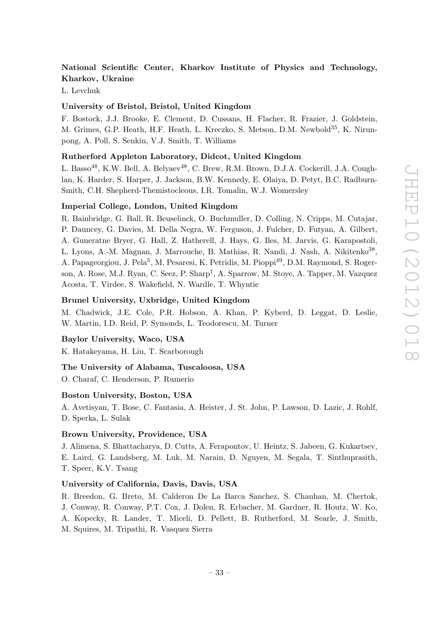# National Scientific Center, Kharkov Institute of Physics and Technology, Kharkov, Ukraine

L. Levchuk

# University of Bristol, Bristol, United Kingdom

F. Bostock, J.J. Brooke, E. Clement, D. Cussans, H. Flacher, R. Frazier, J. Goldstein, M. Grimes, G.P. Heath, H.F. Heath, L. Kreczko, S. Metson, D.M. Newbold<sup>35</sup>, K. Nirunpong, A. Poll, S. Senkin, V.J. Smith, T. Williams

### Rutherford Appleton Laboratory, Didcot, United Kingdom

L. Basso<sup>48</sup>, K.W. Bell, A. Belyaev<sup>48</sup>, C. Brew, R.M. Brown, D.J.A. Cockerill, J.A. Coughlan, K. Harder, S. Harper, J. Jackson, B.W. Kennedy, E. Olaiya, D. Petyt, B.C. Radburn-Smith, C.H. Shepherd-Themistocleous, I.R. Tomalin, W.J. Womersley

#### Imperial College, London, United Kingdom

R. Bainbridge, G. Ball, R. Beuselinck, O. Buchmuller, D. Colling, N. Cripps, M. Cutajar, P. Dauncey, G. Davies, M. Della Negra, W. Ferguson, J. Fulcher, D. Futyan, A. Gilbert, A. Guneratne Bryer, G. Hall, Z. Hatherell, J. Hays, G. Iles, M. Jarvis, G. Karapostoli, L. Lyons, A.-M. Magnan, J. Marrouche, B. Mathias, R. Nandi, J. Nash, A. Nikitenko<sup>38</sup>, A. Papageorgiou, J. Pela<sup>5</sup>, M. Pesaresi, K. Petridis, M. Pioppi<sup>49</sup>, D.M. Raymond, S. Rogerson, A. Rose, M.J. Ryan, C. Seez, P. Sharp† , A. Sparrow, M. Stoye, A. Tapper, M. Vazquez Acosta, T. Virdee, S. Wakefield, N. Wardle, T. Whyntie

#### Brunel University, Uxbridge, United Kingdom

M. Chadwick, J.E. Cole, P.R. Hobson, A. Khan, P. Kyberd, D. Leggat, D. Leslie, W. Martin, I.D. Reid, P. Symonds, L. Teodorescu, M. Turner

# Baylor University, Waco, USA

K. Hatakeyama, H. Liu, T. Scarborough

#### The University of Alabama, Tuscaloosa, USA

O. Charaf, C. Henderson, P. Rumerio

#### Boston University, Boston, USA

A. Avetisyan, T. Bose, C. Fantasia, A. Heister, J. St. John, P. Lawson, D. Lazic, J. Rohlf, D. Sperka, L. Sulak

### Brown University, Providence, USA

J. Alimena, S. Bhattacharya, D. Cutts, A. Ferapontov, U. Heintz, S. Jabeen, G. Kukartsev, E. Laird, G. Landsberg, M. Luk, M. Narain, D. Nguyen, M. Segala, T. Sinthuprasith, T. Speer, K.V. Tsang

#### University of California, Davis, Davis, USA

R. Breedon, G. Breto, M. Calderon De La Barca Sanchez, S. Chauhan, M. Chertok, J. Conway, R. Conway, P.T. Cox, J. Dolen, R. Erbacher, M. Gardner, R. Houtz, W. Ko, A. Kopecky, R. Lander, T. Miceli, D. Pellett, B. Rutherford, M. Searle, J. Smith, M. Squires, M. Tripathi, R. Vasquez Sierra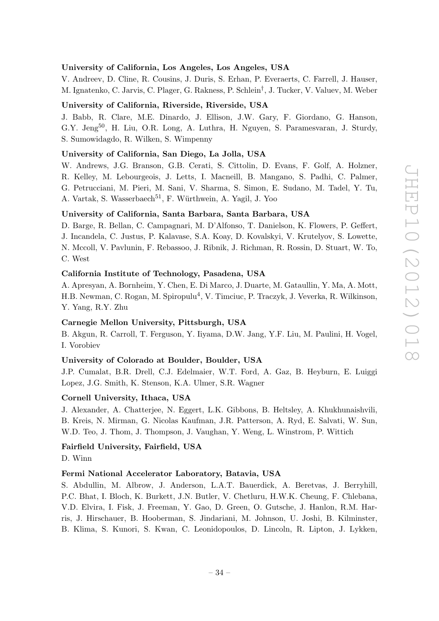#### University of California, Los Angeles, Los Angeles, USA

V. Andreev, D. Cline, R. Cousins, J. Duris, S. Erhan, P. Everaerts, C. Farrell, J. Hauser, M. Ignatenko, C. Jarvis, C. Plager, G. Rakness, P. Schlein† , J. Tucker, V. Valuev, M. Weber

#### University of California, Riverside, Riverside, USA

J. Babb, R. Clare, M.E. Dinardo, J. Ellison, J.W. Gary, F. Giordano, G. Hanson, G.Y. Jeng<sup>50</sup>, H. Liu, O.R. Long, A. Luthra, H. Nguyen, S. Paramesvaran, J. Sturdy, S. Sumowidagdo, R. Wilken, S. Wimpenny

#### University of California, San Diego, La Jolla, USA

W. Andrews, J.G. Branson, G.B. Cerati, S. Cittolin, D. Evans, F. Golf, A. Holzner, R. Kelley, M. Lebourgeois, J. Letts, I. Macneill, B. Mangano, S. Padhi, C. Palmer, G. Petrucciani, M. Pieri, M. Sani, V. Sharma, S. Simon, E. Sudano, M. Tadel, Y. Tu, A. Vartak, S. Wasserbaech<sup>51</sup>, F. Würthwein, A. Yagil, J. Yoo

# University of California, Santa Barbara, Santa Barbara, USA

D. Barge, R. Bellan, C. Campagnari, M. D'Alfonso, T. Danielson, K. Flowers, P. Geffert, J. Incandela, C. Justus, P. Kalavase, S.A. Koay, D. Kovalskyi, V. Krutelyov, S. Lowette, N. Mccoll, V. Pavlunin, F. Rebassoo, J. Ribnik, J. Richman, R. Rossin, D. Stuart, W. To, C. West

# California Institute of Technology, Pasadena, USA

A. Apresyan, A. Bornheim, Y. Chen, E. Di Marco, J. Duarte, M. Gataullin, Y. Ma, A. Mott, H.B. Newman, C. Rogan, M. Spiropulu<sup>4</sup>, V. Timciuc, P. Traczyk, J. Veverka, R. Wilkinson, Y. Yang, R.Y. Zhu

#### Carnegie Mellon University, Pittsburgh, USA

B. Akgun, R. Carroll, T. Ferguson, Y. Iiyama, D.W. Jang, Y.F. Liu, M. Paulini, H. Vogel, I. Vorobiev

### University of Colorado at Boulder, Boulder, USA

J.P. Cumalat, B.R. Drell, C.J. Edelmaier, W.T. Ford, A. Gaz, B. Heyburn, E. Luiggi Lopez, J.G. Smith, K. Stenson, K.A. Ulmer, S.R. Wagner

#### Cornell University, Ithaca, USA

J. Alexander, A. Chatterjee, N. Eggert, L.K. Gibbons, B. Heltsley, A. Khukhunaishvili, B. Kreis, N. Mirman, G. Nicolas Kaufman, J.R. Patterson, A. Ryd, E. Salvati, W. Sun, W.D. Teo, J. Thom, J. Thompson, J. Vaughan, Y. Weng, L. Winstrom, P. Wittich

### Fairfield University, Fairfield, USA

D. Winn

#### Fermi National Accelerator Laboratory, Batavia, USA

S. Abdullin, M. Albrow, J. Anderson, L.A.T. Bauerdick, A. Beretvas, J. Berryhill, P.C. Bhat, I. Bloch, K. Burkett, J.N. Butler, V. Chetluru, H.W.K. Cheung, F. Chlebana, V.D. Elvira, I. Fisk, J. Freeman, Y. Gao, D. Green, O. Gutsche, J. Hanlon, R.M. Harris, J. Hirschauer, B. Hooberman, S. Jindariani, M. Johnson, U. Joshi, B. Kilminster, B. Klima, S. Kunori, S. Kwan, C. Leonidopoulos, D. Lincoln, R. Lipton, J. Lykken,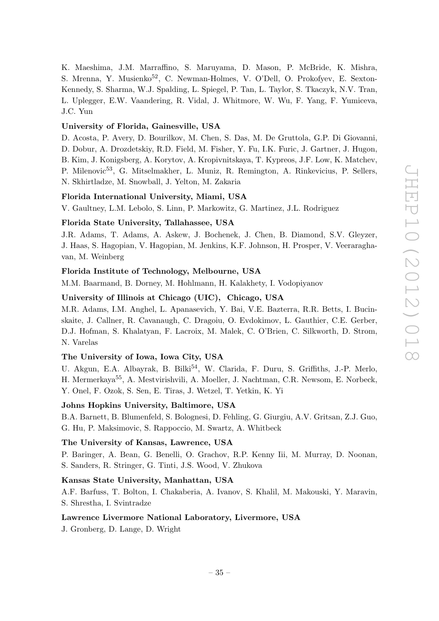K. Maeshima, J.M. Marraffino, S. Maruyama, D. Mason, P. McBride, K. Mishra, S. Mrenna, Y. Musienko<sup>52</sup>, C. Newman-Holmes, V. O'Dell, O. Prokofyev, E. Sexton-Kennedy, S. Sharma, W.J. Spalding, L. Spiegel, P. Tan, L. Taylor, S. Tkaczyk, N.V. Tran, L. Uplegger, E.W. Vaandering, R. Vidal, J. Whitmore, W. Wu, F. Yang, F. Yumiceva, J.C. Yun

#### University of Florida, Gainesville, USA

D. Acosta, P. Avery, D. Bourilkov, M. Chen, S. Das, M. De Gruttola, G.P. Di Giovanni, D. Dobur, A. Drozdetskiy, R.D. Field, M. Fisher, Y. Fu, I.K. Furic, J. Gartner, J. Hugon,

B. Kim, J. Konigsberg, A. Korytov, A. Kropivnitskaya, T. Kypreos, J.F. Low, K. Matchev,

P. Milenovic<sup>53</sup>, G. Mitselmakher, L. Muniz, R. Remington, A. Rinkevicius, P. Sellers,

N. Skhirtladze, M. Snowball, J. Yelton, M. Zakaria

#### Florida International University, Miami, USA

V. Gaultney, L.M. Lebolo, S. Linn, P. Markowitz, G. Martinez, J.L. Rodriguez

#### Florida State University, Tallahassee, USA

J.R. Adams, T. Adams, A. Askew, J. Bochenek, J. Chen, B. Diamond, S.V. Gleyzer, J. Haas, S. Hagopian, V. Hagopian, M. Jenkins, K.F. Johnson, H. Prosper, V. Veeraraghavan, M. Weinberg

### Florida Institute of Technology, Melbourne, USA

M.M. Baarmand, B. Dorney, M. Hohlmann, H. Kalakhety, I. Vodopiyanov

# University of Illinois at Chicago (UIC), Chicago, USA

M.R. Adams, I.M. Anghel, L. Apanasevich, Y. Bai, V.E. Bazterra, R.R. Betts, I. Bucinskaite, J. Callner, R. Cavanaugh, C. Dragoiu, O. Evdokimov, L. Gauthier, C.E. Gerber, D.J. Hofman, S. Khalatyan, F. Lacroix, M. Malek, C. O'Brien, C. Silkworth, D. Strom, N. Varelas

#### The University of Iowa, Iowa City, USA

U. Akgun, E.A. Albayrak, B. Bilki<sup>54</sup>, W. Clarida, F. Duru, S. Griffiths, J.-P. Merlo, H. Mermerkaya55, A. Mestvirishvili, A. Moeller, J. Nachtman, C.R. Newsom, E. Norbeck, Y. Onel, F. Ozok, S. Sen, E. Tiras, J. Wetzel, T. Yetkin, K. Yi

#### Johns Hopkins University, Baltimore, USA

B.A. Barnett, B. Blumenfeld, S. Bolognesi, D. Fehling, G. Giurgiu, A.V. Gritsan, Z.J. Guo, G. Hu, P. Maksimovic, S. Rappoccio, M. Swartz, A. Whitbeck

### The University of Kansas, Lawrence, USA

P. Baringer, A. Bean, G. Benelli, O. Grachov, R.P. Kenny Iii, M. Murray, D. Noonan, S. Sanders, R. Stringer, G. Tinti, J.S. Wood, V. Zhukova

#### Kansas State University, Manhattan, USA

A.F. Barfuss, T. Bolton, I. Chakaberia, A. Ivanov, S. Khalil, M. Makouski, Y. Maravin, S. Shrestha, I. Svintradze

#### Lawrence Livermore National Laboratory, Livermore, USA

J. Gronberg, D. Lange, D. Wright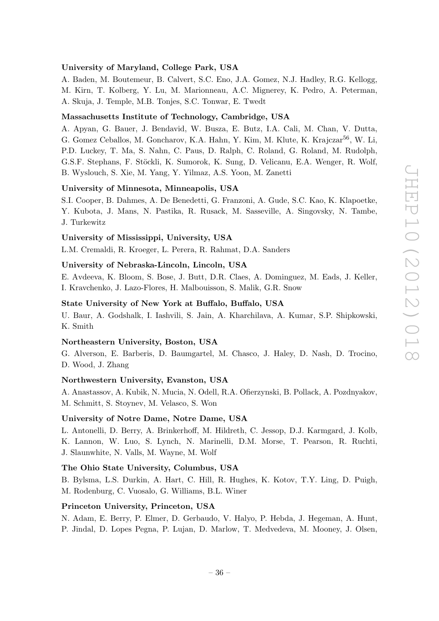#### University of Maryland, College Park, USA

A. Baden, M. Boutemeur, B. Calvert, S.C. Eno, J.A. Gomez, N.J. Hadley, R.G. Kellogg, M. Kirn, T. Kolberg, Y. Lu, M. Marionneau, A.C. Mignerey, K. Pedro, A. Peterman, A. Skuja, J. Temple, M.B. Tonjes, S.C. Tonwar, E. Twedt

#### Massachusetts Institute of Technology, Cambridge, USA

A. Apyan, G. Bauer, J. Bendavid, W. Busza, E. Butz, I.A. Cali, M. Chan, V. Dutta, G. Gomez Ceballos, M. Goncharov, K.A. Hahn, Y. Kim, M. Klute, K. Krajczar<sup>56</sup>, W. Li, P.D. Luckey, T. Ma, S. Nahn, C. Paus, D. Ralph, C. Roland, G. Roland, M. Rudolph, G.S.F. Stephans, F. Stöckli, K. Sumorok, K. Sung, D. Velicanu, E.A. Wenger, R. Wolf, B. Wyslouch, S. Xie, M. Yang, Y. Yilmaz, A.S. Yoon, M. Zanetti

#### University of Minnesota, Minneapolis, USA

S.I. Cooper, B. Dahmes, A. De Benedetti, G. Franzoni, A. Gude, S.C. Kao, K. Klapoetke, Y. Kubota, J. Mans, N. Pastika, R. Rusack, M. Sasseville, A. Singovsky, N. Tambe, J. Turkewitz

#### University of Mississippi, University, USA

L.M. Cremaldi, R. Kroeger, L. Perera, R. Rahmat, D.A. Sanders

### University of Nebraska-Lincoln, Lincoln, USA

E. Avdeeva, K. Bloom, S. Bose, J. Butt, D.R. Claes, A. Dominguez, M. Eads, J. Keller, I. Kravchenko, J. Lazo-Flores, H. Malbouisson, S. Malik, G.R. Snow

#### State University of New York at Buffalo, Buffalo, USA

U. Baur, A. Godshalk, I. Iashvili, S. Jain, A. Kharchilava, A. Kumar, S.P. Shipkowski, K. Smith

#### Northeastern University, Boston, USA

G. Alverson, E. Barberis, D. Baumgartel, M. Chasco, J. Haley, D. Nash, D. Trocino, D. Wood, J. Zhang

#### Northwestern University, Evanston, USA

A. Anastassov, A. Kubik, N. Mucia, N. Odell, R.A. Ofierzynski, B. Pollack, A. Pozdnyakov, M. Schmitt, S. Stoynev, M. Velasco, S. Won

#### University of Notre Dame, Notre Dame, USA

L. Antonelli, D. Berry, A. Brinkerhoff, M. Hildreth, C. Jessop, D.J. Karmgard, J. Kolb, K. Lannon, W. Luo, S. Lynch, N. Marinelli, D.M. Morse, T. Pearson, R. Ruchti, J. Slaunwhite, N. Valls, M. Wayne, M. Wolf

#### The Ohio State University, Columbus, USA

B. Bylsma, L.S. Durkin, A. Hart, C. Hill, R. Hughes, K. Kotov, T.Y. Ling, D. Puigh, M. Rodenburg, C. Vuosalo, G. Williams, B.L. Winer

#### Princeton University, Princeton, USA

N. Adam, E. Berry, P. Elmer, D. Gerbaudo, V. Halyo, P. Hebda, J. Hegeman, A. Hunt, P. Jindal, D. Lopes Pegna, P. Lujan, D. Marlow, T. Medvedeva, M. Mooney, J. Olsen,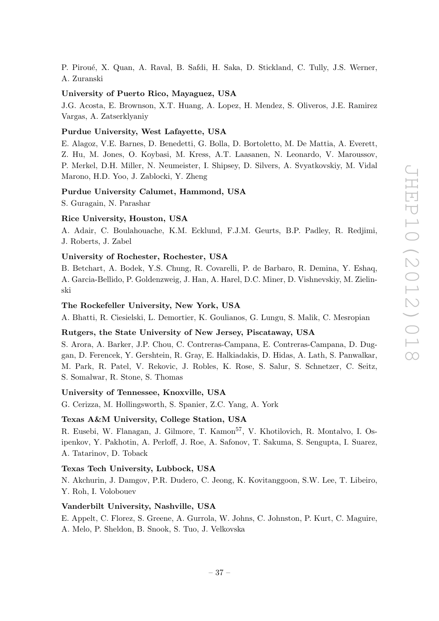P. Piroué, X. Quan, A. Raval, B. Safdi, H. Saka, D. Stickland, C. Tully, J.S. Werner, A. Zuranski

#### University of Puerto Rico, Mayaguez, USA

J.G. Acosta, E. Brownson, X.T. Huang, A. Lopez, H. Mendez, S. Oliveros, J.E. Ramirez Vargas, A. Zatserklyaniy

#### Purdue University, West Lafayette, USA

E. Alagoz, V.E. Barnes, D. Benedetti, G. Bolla, D. Bortoletto, M. De Mattia, A. Everett, Z. Hu, M. Jones, O. Koybasi, M. Kress, A.T. Laasanen, N. Leonardo, V. Maroussov, P. Merkel, D.H. Miller, N. Neumeister, I. Shipsey, D. Silvers, A. Svyatkovskiy, M. Vidal Marono, H.D. Yoo, J. Zablocki, Y. Zheng

#### Purdue University Calumet, Hammond, USA

S. Guragain, N. Parashar

#### Rice University, Houston, USA

A. Adair, C. Boulahouache, K.M. Ecklund, F.J.M. Geurts, B.P. Padley, R. Redjimi, J. Roberts, J. Zabel

# University of Rochester, Rochester, USA

B. Betchart, A. Bodek, Y.S. Chung, R. Covarelli, P. de Barbaro, R. Demina, Y. Eshaq, A. Garcia-Bellido, P. Goldenzweig, J. Han, A. Harel, D.C. Miner, D. Vishnevskiy, M. Zielinski

#### The Rockefeller University, New York, USA

A. Bhatti, R. Ciesielski, L. Demortier, K. Goulianos, G. Lungu, S. Malik, C. Mesropian

#### Rutgers, the State University of New Jersey, Piscataway, USA

S. Arora, A. Barker, J.P. Chou, C. Contreras-Campana, E. Contreras-Campana, D. Duggan, D. Ferencek, Y. Gershtein, R. Gray, E. Halkiadakis, D. Hidas, A. Lath, S. Panwalkar, M. Park, R. Patel, V. Rekovic, J. Robles, K. Rose, S. Salur, S. Schnetzer, C. Seitz, S. Somalwar, R. Stone, S. Thomas

#### University of Tennessee, Knoxville, USA

G. Cerizza, M. Hollingsworth, S. Spanier, Z.C. Yang, A. York

#### Texas A&M University, College Station, USA

R. Eusebi, W. Flanagan, J. Gilmore, T. Kamon<sup>57</sup>, V. Khotilovich, R. Montalvo, I. Osipenkov, Y. Pakhotin, A. Perloff, J. Roe, A. Safonov, T. Sakuma, S. Sengupta, I. Suarez, A. Tatarinov, D. Toback

### Texas Tech University, Lubbock, USA

N. Akchurin, J. Damgov, P.R. Dudero, C. Jeong, K. Kovitanggoon, S.W. Lee, T. Libeiro, Y. Roh, I. Volobouev

#### Vanderbilt University, Nashville, USA

E. Appelt, C. Florez, S. Greene, A. Gurrola, W. Johns, C. Johnston, P. Kurt, C. Maguire, A. Melo, P. Sheldon, B. Snook, S. Tuo, J. Velkovska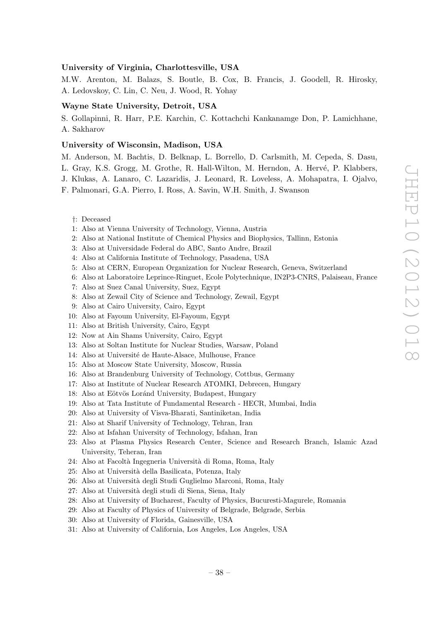#### University of Virginia, Charlottesville, USA

M.W. Arenton, M. Balazs, S. Boutle, B. Cox, B. Francis, J. Goodell, R. Hirosky, A. Ledovskoy, C. Lin, C. Neu, J. Wood, R. Yohay

#### Wayne State University, Detroit, USA

S. Gollapinni, R. Harr, P.E. Karchin, C. Kottachchi Kankanamge Don, P. Lamichhane, A. Sakharov

#### University of Wisconsin, Madison, USA

M. Anderson, M. Bachtis, D. Belknap, L. Borrello, D. Carlsmith, M. Cepeda, S. Dasu,

L. Gray, K.S. Grogg, M. Grothe, R. Hall-Wilton, M. Herndon, A. Hervé, P. Klabbers,

- J. Klukas, A. Lanaro, C. Lazaridis, J. Leonard, R. Loveless, A. Mohapatra, I. Ojalvo,
- F. Palmonari, G.A. Pierro, I. Ross, A. Savin, W.H. Smith, J. Swanson
	- †: Deceased
	- 1: Also at Vienna University of Technology, Vienna, Austria
	- 2: Also at National Institute of Chemical Physics and Biophysics, Tallinn, Estonia
	- 3: Also at Universidade Federal do ABC, Santo Andre, Brazil
	- 4: Also at California Institute of Technology, Pasadena, USA
	- 5: Also at CERN, European Organization for Nuclear Research, Geneva, Switzerland
	- 6: Also at Laboratoire Leprince-Ringuet, Ecole Polytechnique, IN2P3-CNRS, Palaiseau, France
	- 7: Also at Suez Canal University, Suez, Egypt
	- 8: Also at Zewail City of Science and Technology, Zewail, Egypt
	- 9: Also at Cairo University, Cairo, Egypt
	- 10: Also at Fayoum University, El-Fayoum, Egypt
	- 11: Also at British University, Cairo, Egypt
	- 12: Now at Ain Shams University, Cairo, Egypt
	- 13: Also at Soltan Institute for Nuclear Studies, Warsaw, Poland
	- 14: Also at Université de Haute-Alsace, Mulhouse, France
	- 15: Also at Moscow State University, Moscow, Russia
	- 16: Also at Brandenburg University of Technology, Cottbus, Germany
	- 17: Also at Institute of Nuclear Research ATOMKI, Debrecen, Hungary
	- 18: Also at Eötvös Loránd University, Budapest, Hungary
	- 19: Also at Tata Institute of Fundamental Research HECR, Mumbai, India
	- 20: Also at University of Visva-Bharati, Santiniketan, India
	- 21: Also at Sharif University of Technology, Tehran, Iran
	- 22: Also at Isfahan University of Technology, Isfahan, Iran
	- 23: Also at Plasma Physics Research Center, Science and Research Branch, Islamic Azad University, Teheran, Iran
	- 24: Also at Facoltà Ingegneria Università di Roma, Roma, Italy
	- 25: Also at Università della Basilicata, Potenza, Italy
	- 26: Also at Universit`a degli Studi Guglielmo Marconi, Roma, Italy
	- 27: Also at Universit`a degli studi di Siena, Siena, Italy
	- 28: Also at University of Bucharest, Faculty of Physics, Bucuresti-Magurele, Romania
	- 29: Also at Faculty of Physics of University of Belgrade, Belgrade, Serbia
	- 30: Also at University of Florida, Gainesville, USA
	- 31: Also at University of California, Los Angeles, Los Angeles, USA